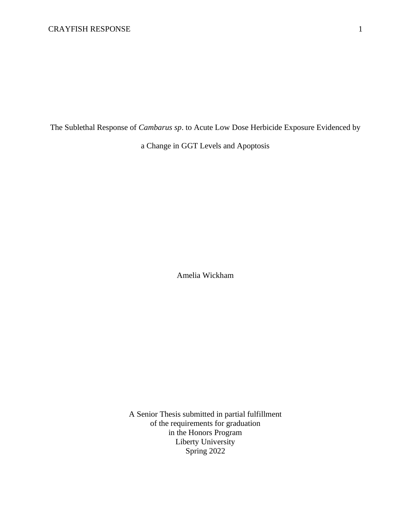The Sublethal Response of *Cambarus sp*. to Acute Low Dose Herbicide Exposure Evidenced by

a Change in GGT Levels and Apoptosis

Amelia Wickham

A Senior Thesis submitted in partial fulfillment of the requirements for graduation in the Honors Program Liberty University Spring 2022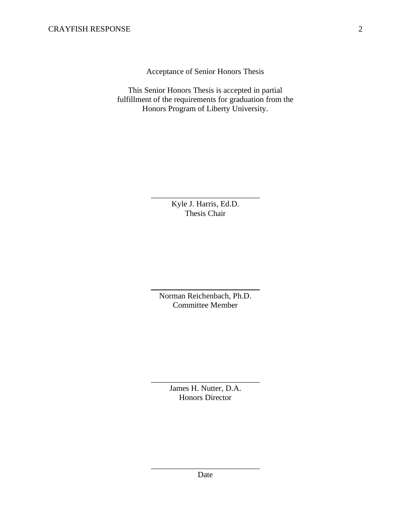Acceptance of Senior Honors Thesis

This Senior Honors Thesis is accepted in partial fulfillment of the requirements for graduation from the Honors Program of Liberty University.

> Kyle J. Harris, Ed.D. Thesis Chair

\_\_\_\_\_\_\_\_\_\_\_\_\_\_\_\_\_\_\_\_\_\_\_\_\_\_\_

Norman Reichenbach, Ph.D. Committee Member

\_\_\_\_\_\_\_\_\_\_\_\_\_\_\_\_\_\_\_\_\_\_\_\_\_\_\_

James H. Nutter, D.A. Honors Director

\_\_\_\_\_\_\_\_\_\_\_\_\_\_\_\_\_\_\_\_\_\_\_\_\_\_\_

\_\_\_\_\_\_\_\_\_\_\_\_\_\_\_\_\_\_\_\_\_\_\_\_\_\_\_ Date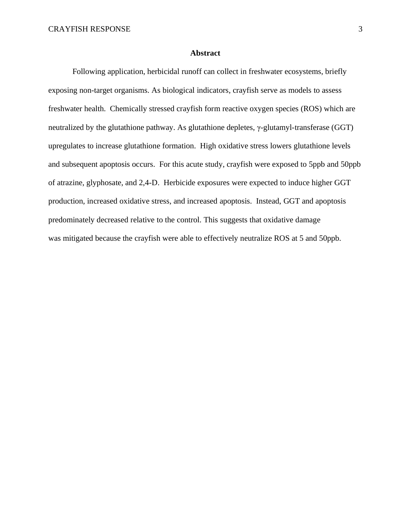#### **Abstract**

Following application, herbicidal runoff can collect in freshwater ecosystems, briefly exposing non-target organisms. As biological indicators, crayfish serve as models to assess freshwater health. Chemically stressed crayfish form reactive oxygen species (ROS) which are neutralized by the glutathione pathway. As glutathione depletes, γ-glutamyl-transferase (GGT) upregulates to increase glutathione formation. High oxidative stress lowers glutathione levels and subsequent apoptosis occurs. For this acute study, crayfish were exposed to 5ppb and 50ppb of atrazine, glyphosate, and 2,4-D. Herbicide exposures were expected to induce higher GGT production, increased oxidative stress, and increased apoptosis. Instead, GGT and apoptosis predominately decreased relative to the control. This suggests that oxidative damage was mitigated because the crayfish were able to effectively neutralize ROS at 5 and 50ppb.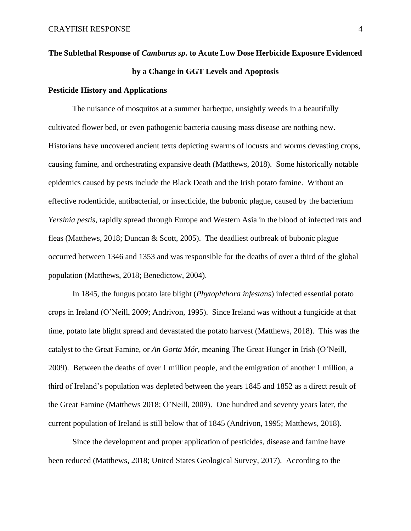# **The Sublethal Response of** *Cambarus sp***. to Acute Low Dose Herbicide Exposure Evidenced by a Change in GGT Levels and Apoptosis**

# **Pesticide History and Applications**

The nuisance of mosquitos at a summer barbeque, unsightly weeds in a beautifully cultivated flower bed, or even pathogenic bacteria causing mass disease are nothing new. Historians have uncovered ancient texts depicting swarms of locusts and worms devasting crops, causing famine, and orchestrating expansive death (Matthews, 2018). Some historically notable epidemics caused by pests include the Black Death and the Irish potato famine. Without an effective rodenticide, antibacterial, or insecticide, the bubonic plague, caused by the bacterium *Yersinia pestis,* rapidly spread through Europe and Western Asia in the blood of infected rats and fleas (Matthews, 2018; Duncan & Scott, 2005). The deadliest outbreak of bubonic plague occurred between 1346 and 1353 and was responsible for the deaths of over a third of the global population (Matthews, 2018; Benedictow, 2004).

In 1845, the fungus potato late blight (*Phytophthora infestans*) infected essential potato crops in Ireland (O'Neill, 2009; Andrivon, 1995). Since Ireland was without a fungicide at that time, potato late blight spread and devastated the potato harvest (Matthews, 2018). This was the catalyst to the Great Famine, or *An Gorta Mór,* meaning The Great Hunger in Irish (O'Neill, 2009). Between the deaths of over 1 million people, and the emigration of another 1 million, a third of Ireland's population was depleted between the years 1845 and 1852 as a direct result of the Great Famine (Matthews 2018; O'Neill, 2009). One hundred and seventy years later, the current population of Ireland is still below that of 1845 (Andrivon, 1995; Matthews, 2018).

Since the development and proper application of pesticides, disease and famine have been reduced (Matthews, 2018; United States Geological Survey, 2017). According to the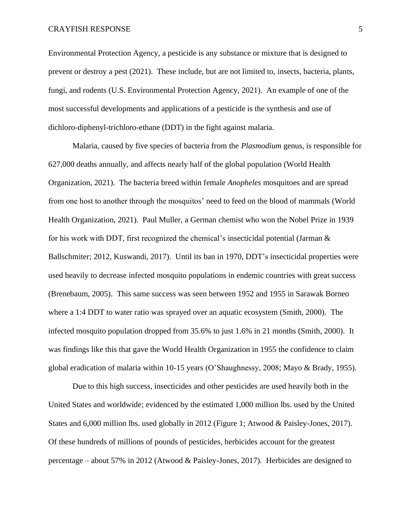Environmental Protection Agency, a pesticide is any substance or mixture that is designed to prevent or destroy a pest (2021). These include, but are not limited to, insects, bacteria, plants, fungi, and rodents (U.S. Environmental Protection Agency, 2021). An example of one of the most successful developments and applications of a pesticide is the synthesis and use of dichloro-diphenyl-trichloro-ethane (DDT) in the fight against malaria.

Malaria, caused by five species of bacteria from the *Plasmodium* genus, is responsible for 627,000 deaths annually, and affects nearly half of the global population (World Health Organization, 2021). The bacteria breed within female *Anopheles* mosquitoes and are spread from one host to another through the mosquitos' need to feed on the blood of mammals (World Health Organization, 2021). Paul Muller, a German chemist who won the Nobel Prize in 1939 for his work with DDT, first recognized the chemical's insecticidal potential (Jarman & Ballschmiter; 2012, Kuswandi, 2017). Until its ban in 1970, DDT's insecticidal properties were used heavily to decrease infected mosquito populations in endemic countries with great success (Brenebaum, 2005). This same success was seen between 1952 and 1955 in Sarawak Borneo where a 1:4 DDT to water ratio was sprayed over an aquatic ecosystem (Smith, 2000). The infected mosquito population dropped from 35.6% to just 1.6% in 21 months (Smith, 2000). It was findings like this that gave the World Health Organization in 1955 the confidence to claim global eradication of malaria within 10-15 years (O'Shaughnessy, 2008; Mayo & Brady, 1955).

Due to this high success, insecticides and other pesticides are used heavily both in the United States and worldwide; evidenced by the estimated 1,000 million lbs. used by the United States and 6,000 million lbs. used globally in 2012 (Figure 1; Atwood & Paisley-Jones, 2017). Of these hundreds of millions of pounds of pesticides, herbicides account for the greatest percentage – about 57% in 2012 (Atwood & Paisley-Jones, 2017). Herbicides are designed to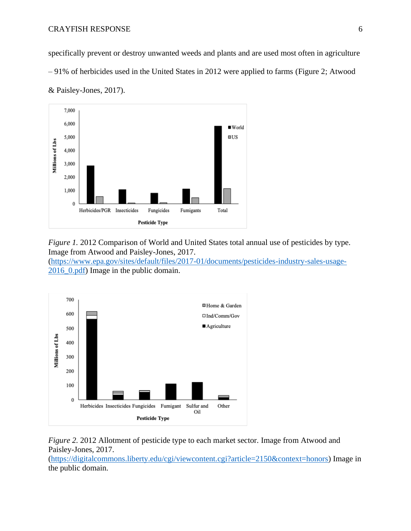specifically prevent or destroy unwanted weeds and plants and are used most often in agriculture – 91% of herbicides used in the United States in 2012 were applied to farms (Figure 2; Atwood & Paisley-Jones, 2017).



*Figure 1.* 2012 Comparison of World and United States total annual use of pesticides by type. Image from Atwood and Paisley-Jones, 2017.

[\(https://www.epa.gov/sites/default/files/2017-01/documents/pesticides-industry-sales-usage-](https://www.epa.gov/sites/default/files/2017-01/documents/pesticides-industry-sales-usage-2016_0.pdf)[2016\\_0.pdf\)](https://www.epa.gov/sites/default/files/2017-01/documents/pesticides-industry-sales-usage-2016_0.pdf) Image in the public domain.



*Figure 2.* 2012 Allotment of pesticide type to each market sector. Image from Atwood and Paisley-Jones, 2017.

[\(https://digitalcommons.liberty.edu/cgi/viewcontent.cgi?article=2150&context=honors\)](https://digitalcommons.liberty.edu/cgi/viewcontent.cgi?article=2150&context=honors) Image in the public domain.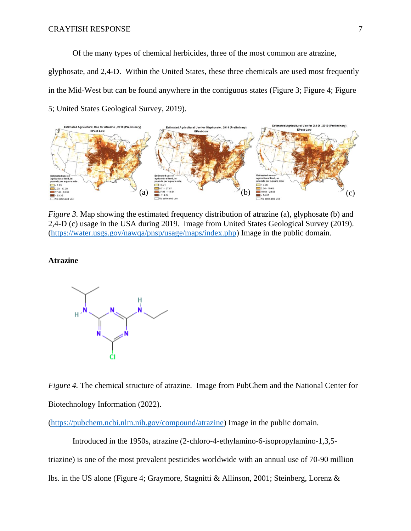Of the many types of chemical herbicides, three of the most common are atrazine,

glyphosate, and 2,4-D. Within the United States, these three chemicals are used most frequently in the Mid-West but can be found anywhere in the contiguous states (Figure 3; Figure 4; Figure 5; United States Geological Survey, 2019).



*Figure 3.* Map showing the estimated frequency distribution of atrazine (a), glyphosate (b) and 2,4-D (c) usage in the USA during 2019. Image from United States Geological Survey (2019). [\(https://water.usgs.gov/nawqa/pnsp/usage/maps/index.php\)](https://water.usgs.gov/nawqa/pnsp/usage/maps/index.php) Image in the public domain.

# **Atrazine**



*Figure 4.* The chemical structure of atrazine. Image from PubChem and the National Center for Biotechnology Information (2022).

[\(https://pubchem.ncbi.nlm.nih.gov/compound/atrazine\)](https://pubchem.ncbi.nlm.nih.gov/compound/atrazine) Image in the public domain.

Introduced in the 1950s, atrazine (2-chloro-4-ethylamino-6-isopropylamino-1,3,5 triazine) is one of the most prevalent pesticides worldwide with an annual use of 70-90 million lbs. in the US alone (Figure 4; Graymore, Stagnitti & Allinson, 2001; Steinberg, Lorenz &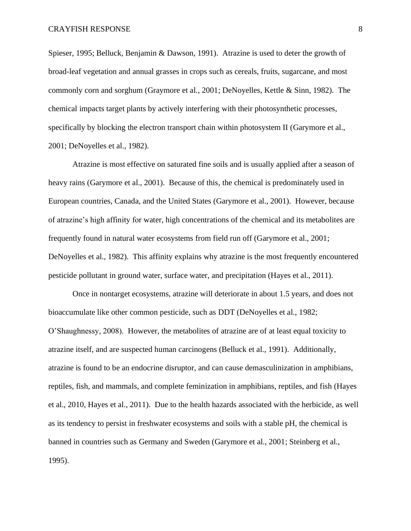Spieser, 1995; Belluck, Benjamin & Dawson, 1991). Atrazine is used to deter the growth of broad-leaf vegetation and annual grasses in crops such as cereals, fruits, sugarcane, and most commonly corn and sorghum (Graymore et al., 2001; DeNoyelles, Kettle & Sinn, 1982). The chemical impacts target plants by actively interfering with their photosynthetic processes, specifically by blocking the electron transport chain within photosystem II (Garymore et al., 2001; DeNoyelles et al., 1982).

Atrazine is most effective on saturated fine soils and is usually applied after a season of heavy rains (Garymore et al., 2001). Because of this, the chemical is predominately used in European countries, Canada, and the United States (Garymore et al., 2001). However, because of atrazine's high affinity for water, high concentrations of the chemical and its metabolites are frequently found in natural water ecosystems from field run off (Garymore et al., 2001; DeNoyelles et al., 1982). This affinity explains why atrazine is the most frequently encountered pesticide pollutant in ground water, surface water, and precipitation (Hayes et al., 2011).

Once in nontarget ecosystems, atrazine will deteriorate in about 1.5 years, and does not bioaccumulate like other common pesticide, such as DDT (DeNoyelles et al., 1982; O'Shaughnessy, 2008). However, the metabolites of atrazine are of at least equal toxicity to atrazine itself, and are suspected human carcinogens (Belluck et al., 1991). Additionally, atrazine is found to be an endocrine disruptor, and can cause demasculinization in amphibians, reptiles, fish, and mammals, and complete feminization in amphibians, reptiles, and fish (Hayes et al., 2010, Hayes et al., 2011). Due to the health hazards associated with the herbicide, as well as its tendency to persist in freshwater ecosystems and soils with a stable pH, the chemical is banned in countries such as Germany and Sweden (Garymore et al., 2001; Steinberg et al., 1995).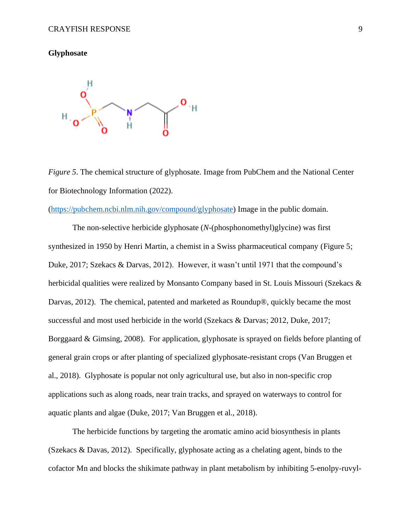# **Glyphosate**



*Figure 5*. The chemical structure of glyphosate. Image from PubChem and the National Center for Biotechnology Information (2022).

[\(https://pubchem.ncbi.nlm.nih.gov/compound/glyphosate\)](https://pubchem.ncbi.nlm.nih.gov/compound/glyphosate) Image in the public domain.

The non-selective herbicide glyphosate (*N*-(phosphonomethyl)glycine) was first synthesized in 1950 by Henri Martin, a chemist in a Swiss pharmaceutical company (Figure 5; Duke, 2017; Szekacs & Darvas, 2012). However, it wasn't until 1971 that the compound's herbicidal qualities were realized by Monsanto Company based in St. Louis Missouri (Szekacs & Darvas, 2012). The chemical, patented and marketed as Roundup®, quickly became the most successful and most used herbicide in the world (Szekacs & Darvas; 2012, Duke, 2017; Borggaard & Gimsing, 2008). For application, glyphosate is sprayed on fields before planting of general grain crops or after planting of specialized glyphosate-resistant crops (Van Bruggen et al., 2018). Glyphosate is popular not only agricultural use, but also in non-specific crop applications such as along roads, near train tracks, and sprayed on waterways to control for aquatic plants and algae (Duke, 2017; Van Bruggen et al., 2018).

The herbicide functions by targeting the aromatic amino acid biosynthesis in plants (Szekacs & Davas, 2012). Specifically, glyphosate acting as a chelating agent, binds to the cofactor Mn and blocks the shikimate pathway in plant metabolism by inhibiting 5-enolpy-ruvyl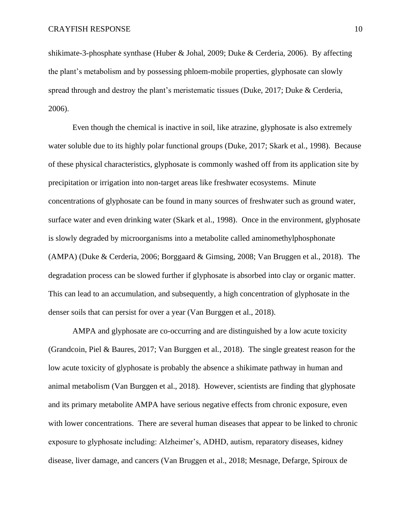shikimate-3-phosphate synthase (Huber & Johal, 2009; Duke & Cerderia, 2006). By affecting the plant's metabolism and by possessing phloem-mobile properties, glyphosate can slowly spread through and destroy the plant's meristematic tissues (Duke, 2017; Duke & Cerderia, 2006).

Even though the chemical is inactive in soil, like atrazine, glyphosate is also extremely water soluble due to its highly polar functional groups (Duke, 2017; Skark et al., 1998). Because of these physical characteristics, glyphosate is commonly washed off from its application site by precipitation or irrigation into non-target areas like freshwater ecosystems. Minute concentrations of glyphosate can be found in many sources of freshwater such as ground water, surface water and even drinking water (Skark et al., 1998). Once in the environment, glyphosate is slowly degraded by microorganisms into a metabolite called aminomethylphosphonate (AMPA) (Duke & Cerderia, 2006; Borggaard & Gimsing, 2008; Van Bruggen et al., 2018). The degradation process can be slowed further if glyphosate is absorbed into clay or organic matter. This can lead to an accumulation, and subsequently, a high concentration of glyphosate in the denser soils that can persist for over a year (Van Burggen et al., 2018).

AMPA and glyphosate are co-occurring and are distinguished by a low acute toxicity (Grandcoin, Piel & Baures, 2017; Van Burggen et al., 2018). The single greatest reason for the low acute toxicity of glyphosate is probably the absence a shikimate pathway in human and animal metabolism (Van Burggen et al., 2018). However, scientists are finding that glyphosate and its primary metabolite AMPA have serious negative effects from chronic exposure, even with lower concentrations. There are several human diseases that appear to be linked to chronic exposure to glyphosate including: Alzheimer's, ADHD, autism, reparatory diseases, kidney disease, liver damage, and cancers (Van Bruggen et al., 2018; Mesnage, Defarge, Spiroux de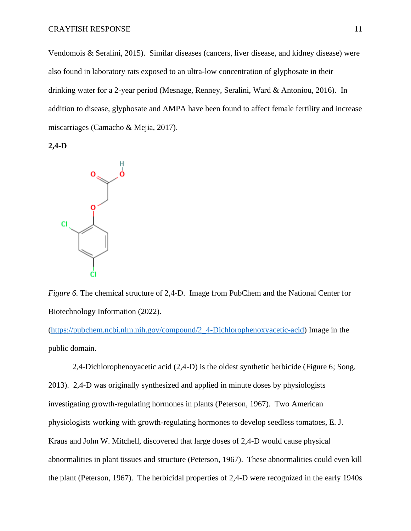Vendomois & Seralini, 2015). Similar diseases (cancers, liver disease, and kidney disease) were also found in laboratory rats exposed to an ultra-low concentration of glyphosate in their drinking water for a 2-year period (Mesnage, Renney, Seralini, Ward & Antoniou, 2016). In addition to disease, glyphosate and AMPA have been found to affect female fertility and increase miscarriages (Camacho & Mejia, 2017).

**2,4-D**



*Figure 6.* The chemical structure of 2,4-D. Image from PubChem and the National Center for Biotechnology Information (2022).

[\(https://pubchem.ncbi.nlm.nih.gov/compound/2\\_4-Dichlorophenoxyacetic-acid\)](https://pubchem.ncbi.nlm.nih.gov/compound/2_4-Dichlorophenoxyacetic-acid) Image in the public domain.

2,4-Dichlorophenoyacetic acid (2,4-D) is the oldest synthetic herbicide (Figure 6; Song, 2013). 2,4-D was originally synthesized and applied in minute doses by physiologists investigating growth-regulating hormones in plants (Peterson, 1967). Two American physiologists working with growth-regulating hormones to develop seedless tomatoes, E. J. Kraus and John W. Mitchell, discovered that large doses of 2,4-D would cause physical abnormalities in plant tissues and structure (Peterson, 1967). These abnormalities could even kill the plant (Peterson, 1967). The herbicidal properties of 2,4-D were recognized in the early 1940s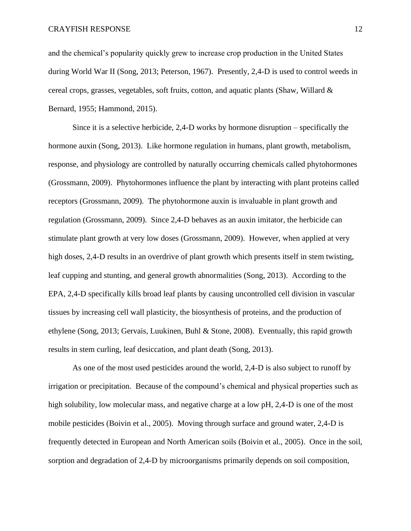and the chemical's popularity quickly grew to increase crop production in the United States during World War II (Song, 2013; Peterson, 1967). Presently, 2,4-D is used to control weeds in cereal crops, grasses, vegetables, soft fruits, cotton, and aquatic plants (Shaw, Willard  $\&$ Bernard, 1955; Hammond, 2015).

Since it is a selective herbicide, 2,4-D works by hormone disruption – specifically the hormone auxin (Song, 2013). Like hormone regulation in humans, plant growth, metabolism, response, and physiology are controlled by naturally occurring chemicals called phytohormones (Grossmann, 2009). Phytohormones influence the plant by interacting with plant proteins called receptors (Grossmann, 2009). The phytohormone auxin is invaluable in plant growth and regulation (Grossmann, 2009). Since 2,4-D behaves as an auxin imitator, the herbicide can stimulate plant growth at very low doses (Grossmann, 2009). However, when applied at very high doses, 2,4-D results in an overdrive of plant growth which presents itself in stem twisting, leaf cupping and stunting, and general growth abnormalities (Song, 2013). According to the EPA, 2,4-D specifically kills broad leaf plants by causing uncontrolled cell division in vascular tissues by increasing cell wall plasticity, the biosynthesis of proteins, and the production of ethylene (Song, 2013; Gervais, Luukinen, Buhl & Stone, 2008). Eventually, this rapid growth results in stem curling, leaf desiccation, and plant death (Song, 2013).

As one of the most used pesticides around the world, 2,4-D is also subject to runoff by irrigation or precipitation. Because of the compound's chemical and physical properties such as high solubility, low molecular mass, and negative charge at a low pH, 2,4-D is one of the most mobile pesticides (Boivin et al., 2005). Moving through surface and ground water, 2,4-D is frequently detected in European and North American soils (Boivin et al., 2005). Once in the soil, sorption and degradation of 2,4-D by microorganisms primarily depends on soil composition,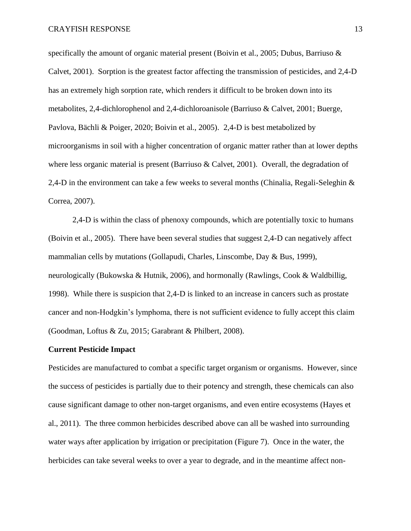specifically the amount of organic material present (Boivin et al., 2005; Dubus, Barriuso  $\&$ Calvet, 2001). Sorption is the greatest factor affecting the transmission of pesticides, and 2,4-D has an extremely high sorption rate, which renders it difficult to be broken down into its metabolites, 2,4-dichlorophenol and 2,4-dichloroanisole (Barriuso & Calvet, 2001; Buerge, Pavlova, Bächli & Poiger, 2020; Boivin et al., 2005). 2,4-D is best metabolized by microorganisms in soil with a higher concentration of organic matter rather than at lower depths where less organic material is present (Barriuso & Calvet, 2001). Overall, the degradation of 2,4-D in the environment can take a few weeks to several months (Chinalia, Regali-Seleghin & Correa, 2007).

2,4-D is within the class of phenoxy compounds, which are potentially toxic to humans (Boivin et al., 2005). There have been several studies that suggest 2,4-D can negatively affect mammalian cells by mutations (Gollapudi, Charles, Linscombe, Day & Bus, 1999), neurologically (Bukowska & Hutnik, 2006), and hormonally (Rawlings, Cook & Waldbillig, 1998). While there is suspicion that 2,4-D is linked to an increase in cancers such as prostate cancer and non-Hodgkin's lymphoma, there is not sufficient evidence to fully accept this claim (Goodman, Loftus & Zu, 2015; Garabrant & Philbert, 2008).

#### **Current Pesticide Impact**

Pesticides are manufactured to combat a specific target organism or organisms. However, since the success of pesticides is partially due to their potency and strength, these chemicals can also cause significant damage to other non-target organisms, and even entire ecosystems (Hayes et al., 2011). The three common herbicides described above can all be washed into surrounding water ways after application by irrigation or precipitation (Figure 7). Once in the water, the herbicides can take several weeks to over a year to degrade, and in the meantime affect non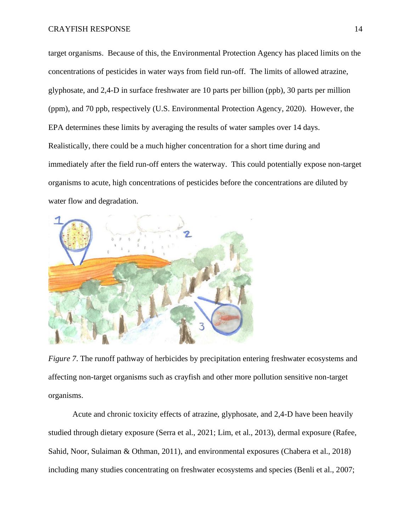target organisms. Because of this, the Environmental Protection Agency has placed limits on the concentrations of pesticides in water ways from field run-off. The limits of allowed atrazine, glyphosate, and 2,4-D in surface freshwater are 10 parts per billion (ppb), 30 parts per million (ppm), and 70 ppb, respectively (U.S. Environmental Protection Agency, 2020). However, the EPA determines these limits by averaging the results of water samples over 14 days. Realistically, there could be a much higher concentration for a short time during and immediately after the field run-off enters the waterway. This could potentially expose non-target organisms to acute, high concentrations of pesticides before the concentrations are diluted by water flow and degradation.



*Figure 7*. The runoff pathway of herbicides by precipitation entering freshwater ecosystems and affecting non-target organisms such as crayfish and other more pollution sensitive non-target organisms.

Acute and chronic toxicity effects of atrazine, glyphosate, and 2,4-D have been heavily studied through dietary exposure (Serra et al., 2021; Lim, et al., 2013), dermal exposure (Rafee, Sahid, Noor, Sulaiman & Othman, 2011), and environmental exposures (Chabera et al., 2018) including many studies concentrating on freshwater ecosystems and species (Benli et al., 2007;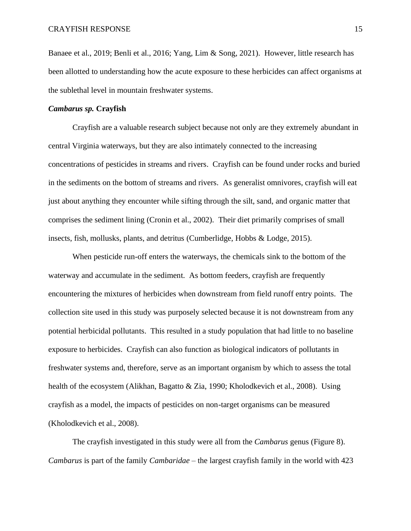Banaee et al., 2019; Benli et al., 2016; Yang, Lim & Song, 2021). However, little research has been allotted to understanding how the acute exposure to these herbicides can affect organisms at the sublethal level in mountain freshwater systems.

# *Cambarus sp.* **Crayfish**

Crayfish are a valuable research subject because not only are they extremely abundant in central Virginia waterways, but they are also intimately connected to the increasing concentrations of pesticides in streams and rivers. Crayfish can be found under rocks and buried in the sediments on the bottom of streams and rivers. As generalist omnivores, crayfish will eat just about anything they encounter while sifting through the silt, sand, and organic matter that comprises the sediment lining (Cronin et al., 2002). Their diet primarily comprises of small insects, fish, mollusks, plants, and detritus (Cumberlidge, Hobbs & Lodge, 2015).

When pesticide run-off enters the waterways, the chemicals sink to the bottom of the waterway and accumulate in the sediment. As bottom feeders, crayfish are frequently encountering the mixtures of herbicides when downstream from field runoff entry points. The collection site used in this study was purposely selected because it is not downstream from any potential herbicidal pollutants. This resulted in a study population that had little to no baseline exposure to herbicides. Crayfish can also function as biological indicators of pollutants in freshwater systems and, therefore, serve as an important organism by which to assess the total health of the ecosystem (Alikhan, Bagatto & Zia, 1990; Kholodkevich et al., 2008). Using crayfish as a model, the impacts of pesticides on non-target organisms can be measured (Kholodkevich et al., 2008).

The crayfish investigated in this study were all from the *Cambarus* genus (Figure 8). *Cambarus* is part of the family *Cambaridae* – the largest crayfish family in the world with 423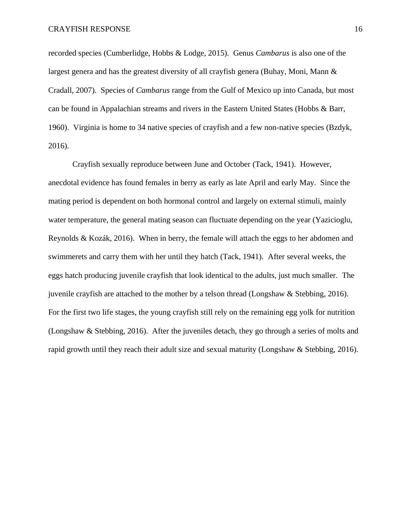recorded species (Cumberlidge, Hobbs & Lodge, 2015). Genus *Cambarus* is also one of the largest genera and has the greatest diversity of all crayfish genera (Buhay, Moni, Mann & Cradall, 2007). Species of *Cambarus* range from the Gulf of Mexico up into Canada, but most can be found in Appalachian streams and rivers in the Eastern United States (Hobbs & Barr, 1960). Virginia is home to 34 native species of crayfish and a few non-native species (Bzdyk, 2016).

Crayfish sexually reproduce between June and October (Tack, 1941). However, anecdotal evidence has found females in berry as early as late April and early May. Since the mating period is dependent on both hormonal control and largely on external stimuli, mainly water temperature, the general mating season can fluctuate depending on the year (Yazicioglu, Reynolds & Kozák, 2016). When in berry, the female will attach the eggs to her abdomen and swimmerets and carry them with her until they hatch (Tack, 1941). After several weeks, the eggs hatch producing juvenile crayfish that look identical to the adults, just much smaller. The juvenile crayfish are attached to the mother by a telson thread (Longshaw & Stebbing, 2016). For the first two life stages, the young crayfish still rely on the remaining egg yolk for nutrition (Longshaw & Stebbing, 2016). After the juveniles detach, they go through a series of molts and rapid growth until they reach their adult size and sexual maturity (Longshaw & Stebbing, 2016).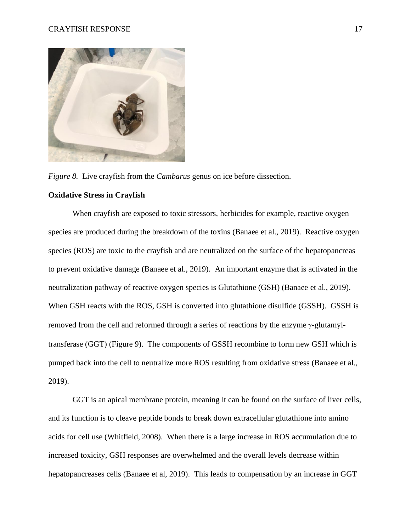

*Figure 8.* Live crayfish from the *Cambarus* genus on ice before dissection.

# **Oxidative Stress in Crayfish**

When crayfish are exposed to toxic stressors, herbicides for example, reactive oxygen species are produced during the breakdown of the toxins (Banaee et al., 2019). Reactive oxygen species (ROS) are toxic to the crayfish and are neutralized on the surface of the hepatopancreas to prevent oxidative damage (Banaee et al., 2019). An important enzyme that is activated in the neutralization pathway of reactive oxygen species is Glutathione (GSH) (Banaee et al., 2019). When GSH reacts with the ROS, GSH is converted into glutathione disulfide (GSSH). GSSH is removed from the cell and reformed through a series of reactions by the enzyme  $\gamma$ -glutamyltransferase (GGT) (Figure 9). The components of GSSH recombine to form new GSH which is pumped back into the cell to neutralize more ROS resulting from oxidative stress (Banaee et al., 2019).

GGT is an apical membrane protein, meaning it can be found on the surface of liver cells, and its function is to cleave peptide bonds to break down extracellular glutathione into amino acids for cell use (Whitfield, 2008). When there is a large increase in ROS accumulation due to increased toxicity, GSH responses are overwhelmed and the overall levels decrease within hepatopancreases cells (Banaee et al, 2019). This leads to compensation by an increase in GGT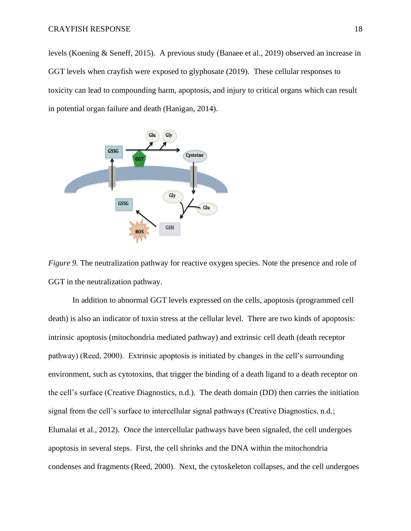levels (Koening & Seneff, 2015). A previous study (Banaee et al., 2019) observed an increase in GGT levels when crayfish were exposed to glyphosate (2019). These cellular responses to toxicity can lead to compounding harm, apoptosis, and injury to critical organs which can result in potential organ failure and death (Hanigan, 2014).



*Figure 9.* The neutralization pathway for reactive oxygen species. Note the presence and role of GGT in the neutralization pathway.

In addition to abnormal GGT levels expressed on the cells, apoptosis (programmed cell death) is also an indicator of toxin stress at the cellular level. There are two kinds of apoptosis: intrinsic apoptosis (mitochondria mediated pathway) and extrinsic cell death (death receptor pathway) (Reed, 2000). Extrinsic apoptosis is initiated by changes in the cell's surrounding environment, such as cytotoxins, that trigger the binding of a death ligand to a death receptor on the cell's surface (Creative Diagnostics, n.d.). The death domain (DD) then carries the initiation signal from the cell's surface to intercellular signal pathways (Creative Diagnostics, n.d.; Elumalai et al., 2012). Once the intercellular pathways have been signaled, the cell undergoes apoptosis in several steps. First, the cell shrinks and the DNA within the mitochondria condenses and fragments (Reed, 2000). Next, the cytoskeleton collapses, and the cell undergoes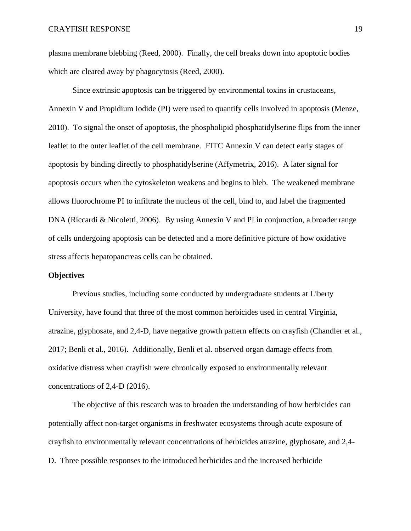plasma membrane blebbing (Reed, 2000). Finally, the cell breaks down into apoptotic bodies which are cleared away by phagocytosis (Reed, 2000).

Since extrinsic apoptosis can be triggered by environmental toxins in crustaceans, Annexin V and Propidium Iodide (PI) were used to quantify cells involved in apoptosis (Menze, 2010). To signal the onset of apoptosis, the phospholipid phosphatidylserine flips from the inner leaflet to the outer leaflet of the cell membrane. FITC Annexin V can detect early stages of apoptosis by binding directly to phosphatidylserine (Affymetrix, 2016). A later signal for apoptosis occurs when the cytoskeleton weakens and begins to bleb. The weakened membrane allows fluorochrome PI to infiltrate the nucleus of the cell, bind to, and label the fragmented DNA (Riccardi & Nicoletti, 2006). By using Annexin V and PI in conjunction, a broader range of cells undergoing apoptosis can be detected and a more definitive picture of how oxidative stress affects hepatopancreas cells can be obtained.

# **Objectives**

Previous studies, including some conducted by undergraduate students at Liberty University, have found that three of the most common herbicides used in central Virginia, atrazine, glyphosate, and 2,4-D, have negative growth pattern effects on crayfish (Chandler et al., 2017; Benli et al., 2016). Additionally, Benli et al. observed organ damage effects from oxidative distress when crayfish were chronically exposed to environmentally relevant concentrations of 2,4-D (2016).

The objective of this research was to broaden the understanding of how herbicides can potentially affect non-target organisms in freshwater ecosystems through acute exposure of crayfish to environmentally relevant concentrations of herbicides atrazine, glyphosate, and 2,4- D. Three possible responses to the introduced herbicides and the increased herbicide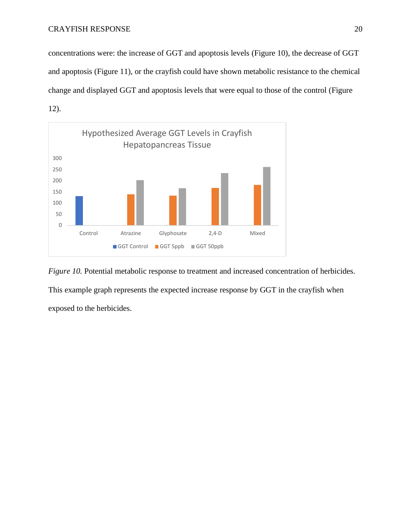concentrations were: the increase of GGT and apoptosis levels (Figure 10), the decrease of GGT and apoptosis (Figure 11), or the crayfish could have shown metabolic resistance to the chemical change and displayed GGT and apoptosis levels that were equal to those of the control (Figure 12).



*Figure 10.* Potential metabolic response to treatment and increased concentration of herbicides. This example graph represents the expected increase response by GGT in the crayfish when exposed to the herbicides.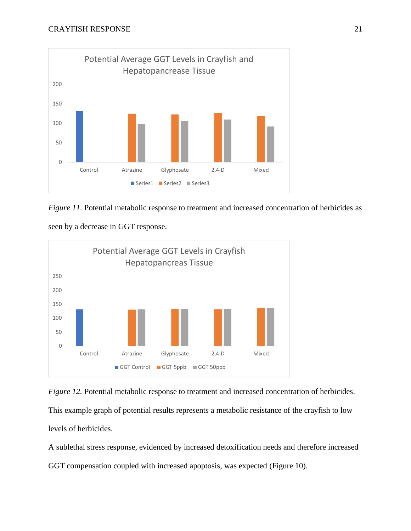

*Figure 11.* Potential metabolic response to treatment and increased concentration of herbicides as

seen by a decrease in GGT response.





A sublethal stress response, evidenced by increased detoxification needs and therefore increased GGT compensation coupled with increased apoptosis, was expected (Figure 10).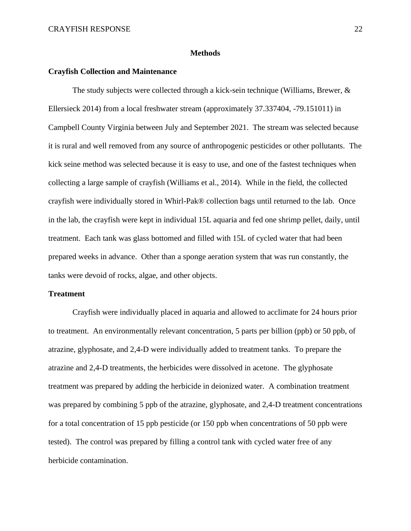### **Methods**

## **Crayfish Collection and Maintenance**

The study subjects were collected through a kick-sein technique (Williams, Brewer,  $\&$ Ellersieck 2014) from a local freshwater stream (approximately 37.337404, -79.151011) in Campbell County Virginia between July and September 2021. The stream was selected because it is rural and well removed from any source of anthropogenic pesticides or other pollutants. The kick seine method was selected because it is easy to use, and one of the fastest techniques when collecting a large sample of crayfish (Williams et al., 2014). While in the field, the collected crayfish were individually stored in Whirl-Pak® collection bags until returned to the lab. Once in the lab, the crayfish were kept in individual 15L aquaria and fed one shrimp pellet, daily, until treatment. Each tank was glass bottomed and filled with 15L of cycled water that had been prepared weeks in advance. Other than a sponge aeration system that was run constantly, the tanks were devoid of rocks, algae, and other objects.

#### **Treatment**

Crayfish were individually placed in aquaria and allowed to acclimate for 24 hours prior to treatment. An environmentally relevant concentration, 5 parts per billion (ppb) or 50 ppb, of atrazine, glyphosate, and 2,4-D were individually added to treatment tanks. To prepare the atrazine and 2,4-D treatments, the herbicides were dissolved in acetone. The glyphosate treatment was prepared by adding the herbicide in deionized water. A combination treatment was prepared by combining 5 ppb of the atrazine, glyphosate, and 2,4-D treatment concentrations for a total concentration of 15 ppb pesticide (or 150 ppb when concentrations of 50 ppb were tested). The control was prepared by filling a control tank with cycled water free of any herbicide contamination.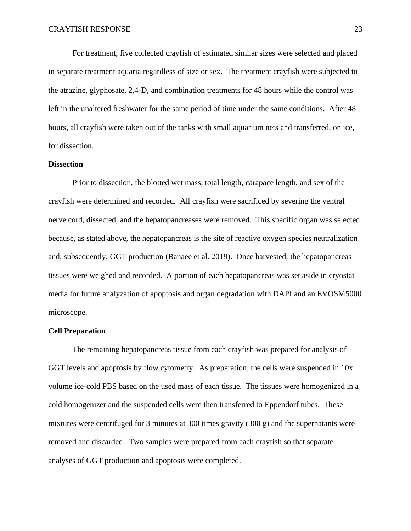For treatment, five collected crayfish of estimated similar sizes were selected and placed in separate treatment aquaria regardless of size or sex. The treatment crayfish were subjected to the atrazine, glyphosate, 2,4-D, and combination treatments for 48 hours while the control was left in the unaltered freshwater for the same period of time under the same conditions. After 48 hours, all crayfish were taken out of the tanks with small aquarium nets and transferred, on ice, for dissection.

# **Dissection**

Prior to dissection, the blotted wet mass, total length, carapace length, and sex of the crayfish were determined and recorded. All crayfish were sacrificed by severing the ventral nerve cord, dissected, and the hepatopancreases were removed. This specific organ was selected because, as stated above, the hepatopancreas is the site of reactive oxygen species neutralization and, subsequently, GGT production (Banaee et al. 2019). Once harvested, the hepatopancreas tissues were weighed and recorded. A portion of each hepatopancreas was set aside in cryostat media for future analyzation of apoptosis and organ degradation with DAPI and an EVOSM5000 microscope.

# **Cell Preparation**

The remaining hepatopancreas tissue from each crayfish was prepared for analysis of GGT levels and apoptosis by flow cytometry. As preparation, the cells were suspended in 10x volume ice-cold PBS based on the used mass of each tissue. The tissues were homogenized in a cold homogenizer and the suspended cells were then transferred to Eppendorf tubes. These mixtures were centrifuged for 3 minutes at 300 times gravity (300 g) and the supernatants were removed and discarded. Two samples were prepared from each crayfish so that separate analyses of GGT production and apoptosis were completed.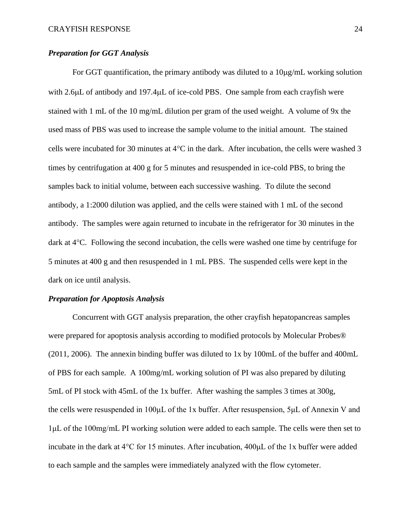# *Preparation for GGT Analysis*

For GGT quantification, the primary antibody was diluted to a  $10\mu g/mL$  working solution with 2.6µL of antibody and 197.4µL of ice-cold PBS. One sample from each crayfish were stained with 1 mL of the 10 mg/mL dilution per gram of the used weight. A volume of 9x the used mass of PBS was used to increase the sample volume to the initial amount. The stained cells were incubated for 30 minutes at  $4^{\circ}$ C in the dark. After incubation, the cells were washed 3 times by centrifugation at 400 g for 5 minutes and resuspended in ice-cold PBS, to bring the samples back to initial volume, between each successive washing. To dilute the second antibody, a 1:2000 dilution was applied, and the cells were stained with 1 mL of the second antibody. The samples were again returned to incubate in the refrigerator for 30 minutes in the dark at  $4^{\circ}$ C. Following the second incubation, the cells were washed one time by centrifuge for 5 minutes at 400 g and then resuspended in 1 mL PBS. The suspended cells were kept in the dark on ice until analysis.

# *Preparation for Apoptosis Analysis*

Concurrent with GGT analysis preparation, the other crayfish hepatopancreas samples were prepared for apoptosis analysis according to modified protocols by Molecular Probes® (2011, 2006). The annexin binding buffer was diluted to 1x by 100mL of the buffer and 400mL of PBS for each sample. A 100mg/mL working solution of PI was also prepared by diluting 5mL of PI stock with 45mL of the 1x buffer. After washing the samples 3 times at 300g, the cells were resuspended in 100μL of the 1x buffer. After resuspension, 5μL of Annexin V and 1μL of the 100mg/mL PI working solution were added to each sample. The cells were then set to incubate in the dark at 4°C for 15 minutes. After incubation, 400μL of the 1x buffer were added to each sample and the samples were immediately analyzed with the flow cytometer.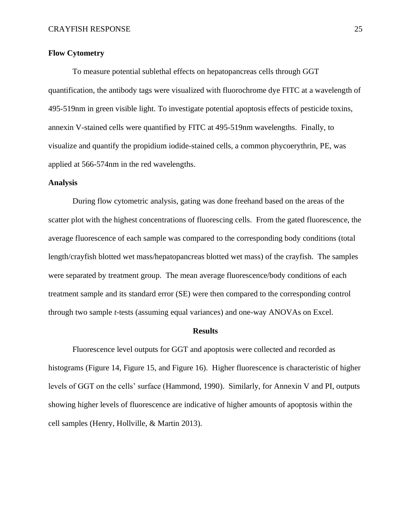# **Flow Cytometry**

To measure potential sublethal effects on hepatopancreas cells through GGT quantification, the antibody tags were visualized with fluorochrome dye FITC at a wavelength of 495-519nm in green visible light. To investigate potential apoptosis effects of pesticide toxins, annexin V-stained cells were quantified by FITC at 495-519nm wavelengths. Finally, to visualize and quantify the propidium iodide-stained cells, a common phycoerythrin, PE, was applied at 566-574nm in the red wavelengths.

# **Analysis**

During flow cytometric analysis, gating was done freehand based on the areas of the scatter plot with the highest concentrations of fluorescing cells. From the gated fluorescence, the average fluorescence of each sample was compared to the corresponding body conditions (total length/crayfish blotted wet mass/hepatopancreas blotted wet mass) of the crayfish. The samples were separated by treatment group. The mean average fluorescence/body conditions of each treatment sample and its standard error (SE) were then compared to the corresponding control through two sample *t*-tests (assuming equal variances) and one-way ANOVAs on Excel.

#### **Results**

Fluorescence level outputs for GGT and apoptosis were collected and recorded as histograms (Figure 14, Figure 15, and Figure 16). Higher fluorescence is characteristic of higher levels of GGT on the cells' surface (Hammond, 1990). Similarly, for Annexin V and PI, outputs showing higher levels of fluorescence are indicative of higher amounts of apoptosis within the cell samples (Henry, Hollville, & Martin 2013).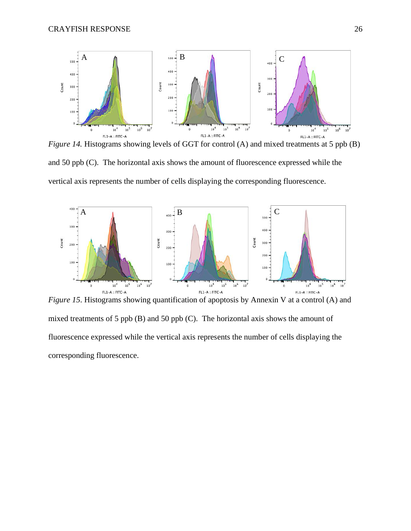

*Figure 14.* Histograms showing levels of GGT for control (A) and mixed treatments at 5 ppb (B) and 50 ppb (C). The horizontal axis shows the amount of fluorescence expressed while the vertical axis represents the number of cells displaying the corresponding fluorescence.



*Figure 15*. Histograms showing quantification of apoptosis by Annexin V at a control (A) and mixed treatments of 5 ppb (B) and 50 ppb (C). The horizontal axis shows the amount of fluorescence expressed while the vertical axis represents the number of cells displaying the corresponding fluorescence.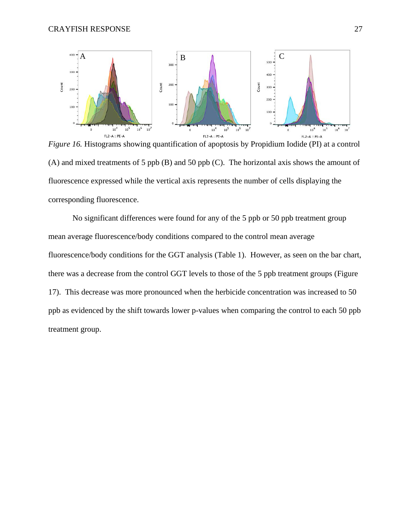

*Figure 16.* Histograms showing quantification of apoptosis by Propidium Iodide (PI) at a control (A) and mixed treatments of 5 ppb (B) and 50 ppb (C). The horizontal axis shows the amount of fluorescence expressed while the vertical axis represents the number of cells displaying the corresponding fluorescence.

No significant differences were found for any of the 5 ppb or 50 ppb treatment group mean average fluorescence/body conditions compared to the control mean average fluorescence/body conditions for the GGT analysis (Table 1). However, as seen on the bar chart, there was a decrease from the control GGT levels to those of the 5 ppb treatment groups (Figure 17). This decrease was more pronounced when the herbicide concentration was increased to 50 ppb as evidenced by the shift towards lower p-values when comparing the control to each 50 ppb treatment group.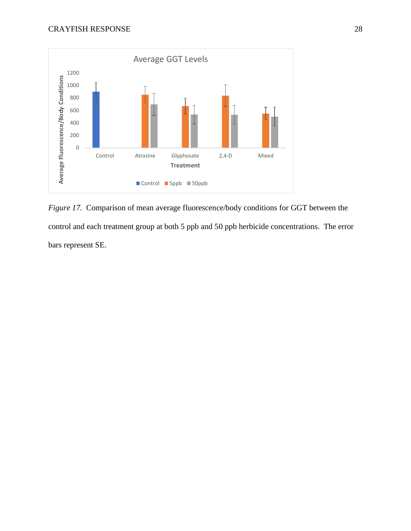

*Figure 17.* Comparison of mean average fluorescence/body conditions for GGT between the control and each treatment group at both 5 ppb and 50 ppb herbicide concentrations. The error bars represent SE.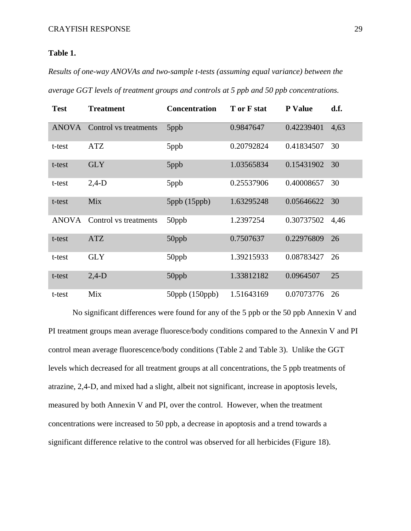# **Table 1.**

*Results of one-way ANOVAs and two-sample t-tests (assuming equal variance) between the average GGT levels of treatment groups and controls at 5 ppb and 50 ppb concentrations.*

| <b>Test</b>  | <b>Treatment</b>      | <b>Concentration</b>    | T or F stat | <b>P</b> Value | d.f. |
|--------------|-----------------------|-------------------------|-------------|----------------|------|
| <b>ANOVA</b> | Control vs treatments | 5ppb                    | 0.9847647   | 0.42239401     | 4,63 |
| t-test       | ATZ                   | 5ppb                    | 0.20792824  | 0.41834507     | 30   |
| t-test       | <b>GLY</b>            | 5ppb                    | 1.03565834  | 0.15431902     | 30   |
| t-test       | $2,4-D$               | 5ppb                    | 0.25537906  | 0.40008657     | 30   |
| t-test       | Mix                   | $5$ ppb $(15$ ppb $)$   | 1.63295248  | 0.05646622     | 30   |
| <b>ANOVA</b> | Control vs treatments | 50ppb                   | 1.2397254   | 0.30737502     | 4,46 |
| t-test       | <b>ATZ</b>            | 50ppb                   | 0.7507637   | 0.22976809     | 26   |
| t-test       | <b>GLY</b>            | 50ppb                   | 1.39215933  | 0.08783427     | 26   |
| t-test       | $2,4-D$               | 50ppb                   | 1.33812182  | 0.0964507      | 25   |
| t-test       | Mix                   | $50$ ppb $(150$ ppb $)$ | 1.51643169  | 0.07073776     | 26   |

No significant differences were found for any of the 5 ppb or the 50 ppb Annexin V and PI treatment groups mean average fluoresce/body conditions compared to the Annexin V and PI control mean average fluorescence/body conditions (Table 2 and Table 3). Unlike the GGT levels which decreased for all treatment groups at all concentrations, the 5 ppb treatments of atrazine, 2,4-D, and mixed had a slight, albeit not significant, increase in apoptosis levels, measured by both Annexin V and PI, over the control. However, when the treatment concentrations were increased to 50 ppb, a decrease in apoptosis and a trend towards a significant difference relative to the control was observed for all herbicides (Figure 18).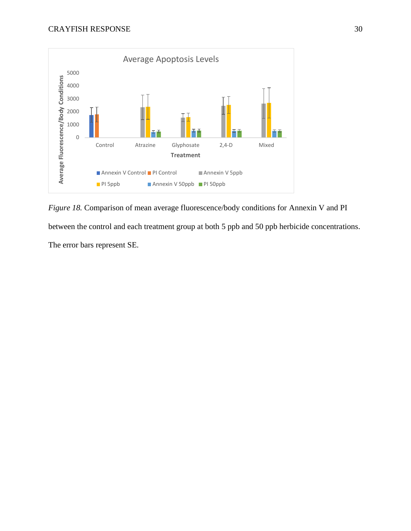

*Figure 18.* Comparison of mean average fluorescence/body conditions for Annexin V and PI between the control and each treatment group at both 5 ppb and 50 ppb herbicide concentrations. The error bars represent SE.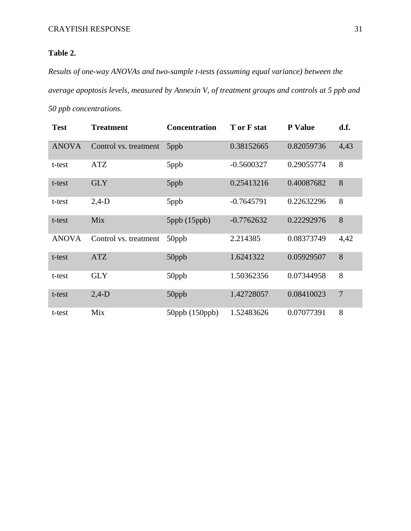# **Table 2.**

*Results of one-way ANOVAs and two-sample t-tests (assuming equal variance) between the average apoptosis levels, measured by Annexin V, of treatment groups and controls at 5 ppb and 50 ppb concentrations.*

| <b>Test</b>  | <b>Treatment</b>      | <b>Concentration</b>    | T or F stat  | <b>P</b> Value | d.f.           |
|--------------|-----------------------|-------------------------|--------------|----------------|----------------|
| <b>ANOVA</b> | Control vs. treatment | 5ppb                    | 0.38152665   | 0.82059736     | 4,43           |
| t-test       | <b>ATZ</b>            | 5ppb                    | $-0.5600327$ | 0.29055774     | 8              |
| t-test       | <b>GLY</b>            | 5ppb                    | 0.25413216   | 0.40087682     | 8              |
| t-test       | $2,4-D$               | 5ppb                    | $-0.7645791$ | 0.22632296     | 8              |
| t-test       | Mix                   | $5$ ppb $(15$ ppb $)$   | $-0.7762632$ | 0.22292976     | 8              |
| <b>ANOVA</b> | Control vs. treatment | 50ppb                   | 2.214385     | 0.08373749     | 4,42           |
| t-test       | <b>ATZ</b>            | 50ppb                   | 1.6241322    | 0.05929507     | 8              |
| t-test       | <b>GLY</b>            | 50ppb                   | 1.50362356   | 0.07344958     | 8              |
| t-test       | $2,4-D$               | 50ppb                   | 1.42728057   | 0.08410023     | $\overline{7}$ |
| t-test       | Mix                   | $50$ ppb $(150$ ppb $)$ | 1.52483626   | 0.07077391     | 8              |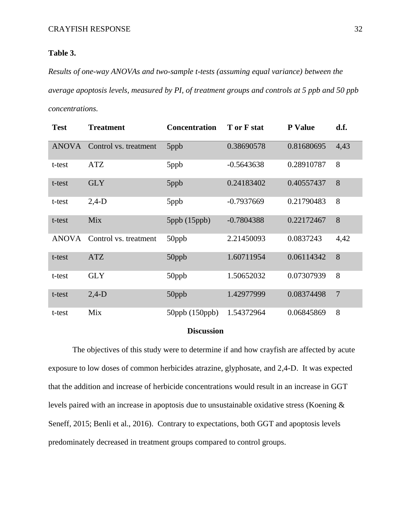# **Table 3.**

*Results of one-way ANOVAs and two-sample t-tests (assuming equal variance) between the average apoptosis levels, measured by PI, of treatment groups and controls at 5 ppb and 50 ppb concentrations.*

| <b>Test</b>  | <b>Treatment</b>      | <b>Concentration</b>    | T or F stat  | <b>P</b> Value | d.f.           |
|--------------|-----------------------|-------------------------|--------------|----------------|----------------|
| <b>ANOVA</b> | Control vs. treatment | 5ppb                    | 0.38690578   | 0.81680695     | 4,43           |
| t-test       | ATZ                   | 5ppb                    | $-0.5643638$ | 0.28910787     | 8              |
| t-test       | <b>GLY</b>            | 5ppb                    | 0.24183402   | 0.40557437     | 8              |
| t-test       | $2,4-D$               | 5ppb                    | $-0.7937669$ | 0.21790483     | 8              |
| t-test       | Mix                   | $5$ ppb $(15$ ppb $)$   | $-0.7804388$ | 0.22172467     | 8              |
| <b>ANOVA</b> | Control vs. treatment | 50ppb                   | 2.21450093   | 0.0837243      | 4,42           |
| t-test       | <b>ATZ</b>            | 50ppb                   | 1.60711954   | 0.06114342     | 8              |
| t-test       | <b>GLY</b>            | 50ppb                   | 1.50652032   | 0.07307939     | 8              |
| t-test       | $2,4-D$               | 50ppb                   | 1.42977999   | 0.08374498     | $\overline{7}$ |
| t-test       | Mix                   | $50$ ppb $(150$ ppb $)$ | 1.54372964   | 0.06845869     | 8              |

# **Discussion**

The objectives of this study were to determine if and how crayfish are affected by acute exposure to low doses of common herbicides atrazine, glyphosate, and 2,4-D. It was expected that the addition and increase of herbicide concentrations would result in an increase in GGT levels paired with an increase in apoptosis due to unsustainable oxidative stress (Koening & Seneff, 2015; Benli et al., 2016). Contrary to expectations, both GGT and apoptosis levels predominately decreased in treatment groups compared to control groups.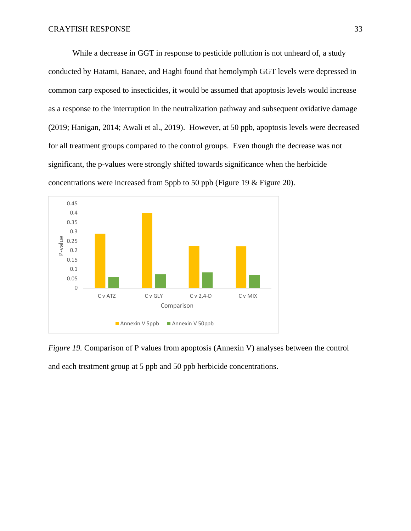While a decrease in GGT in response to pesticide pollution is not unheard of, a study conducted by Hatami, Banaee, and Haghi found that hemolymph GGT levels were depressed in common carp exposed to insecticides, it would be assumed that apoptosis levels would increase as a response to the interruption in the neutralization pathway and subsequent oxidative damage (2019; Hanigan, 2014; Awali et al., 2019). However, at 50 ppb, apoptosis levels were decreased for all treatment groups compared to the control groups. Even though the decrease was not significant, the p-values were strongly shifted towards significance when the herbicide concentrations were increased from 5ppb to 50 ppb (Figure 19 & Figure 20).



*Figure 19.* Comparison of P values from apoptosis (Annexin V) analyses between the control and each treatment group at 5 ppb and 50 ppb herbicide concentrations.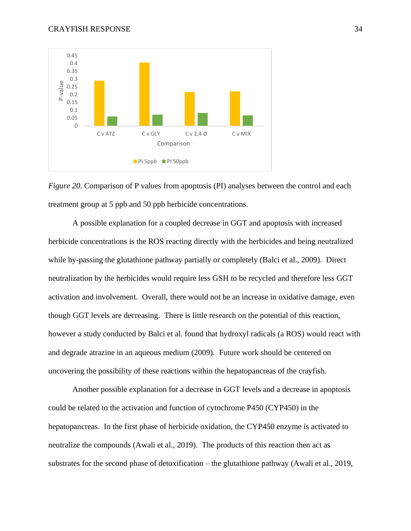



A possible explanation for a coupled decrease in GGT and apoptosis with increased herbicide concentrations is the ROS reacting directly with the herbicides and being neutralized while by-passing the glutathione pathway partially or completely (Balci et al., 2009). Direct neutralization by the herbicides would require less GSH to be recycled and therefore less GGT activation and involvement. Overall, there would not be an increase in oxidative damage, even though GGT levels are decreasing. There is little research on the potential of this reaction, however a study conducted by Balci et al. found that hydroxyl radicals (a ROS) would react with and degrade atrazine in an aqueous medium (2009). Future work should be centered on uncovering the possibility of these reactions within the hepatopancreas of the crayfish.

Another possible explanation for a decrease in GGT levels and a decrease in apoptosis could be related to the activation and function of cytochrome P450 (CYP450) in the hepatopancreas. In the first phase of herbicide oxidation, the CYP450 enzyme is activated to neutralize the compounds (Awali et al., 2019). The products of this reaction then act as substrates for the second phase of detoxification – the glutathione pathway (Awali et al., 2019,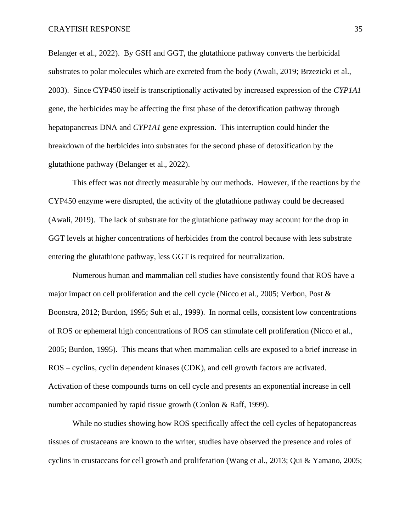Belanger et al., 2022). By GSH and GGT, the glutathione pathway converts the herbicidal substrates to polar molecules which are excreted from the body (Awali, 2019; Brzezicki et al., 2003). Since CYP450 itself is transcriptionally activated by increased expression of the *CYP1A1*  gene, the herbicides may be affecting the first phase of the detoxification pathway through hepatopancreas DNA and *CYP1A1* gene expression. This interruption could hinder the breakdown of the herbicides into substrates for the second phase of detoxification by the glutathione pathway (Belanger et al., 2022).

This effect was not directly measurable by our methods. However, if the reactions by the CYP450 enzyme were disrupted, the activity of the glutathione pathway could be decreased (Awali, 2019). The lack of substrate for the glutathione pathway may account for the drop in GGT levels at higher concentrations of herbicides from the control because with less substrate entering the glutathione pathway, less GGT is required for neutralization.

Numerous human and mammalian cell studies have consistently found that ROS have a major impact on cell proliferation and the cell cycle (Nicco et al., 2005; Verbon, Post & Boonstra, 2012; Burdon, 1995; Suh et al., 1999). In normal cells, consistent low concentrations of ROS or ephemeral high concentrations of ROS can stimulate cell proliferation (Nicco et al., 2005; Burdon, 1995). This means that when mammalian cells are exposed to a brief increase in ROS – cyclins, cyclin dependent kinases (CDK), and cell growth factors are activated. Activation of these compounds turns on cell cycle and presents an exponential increase in cell number accompanied by rapid tissue growth (Conlon & Raff, 1999).

While no studies showing how ROS specifically affect the cell cycles of hepatopancreas tissues of crustaceans are known to the writer, studies have observed the presence and roles of cyclins in crustaceans for cell growth and proliferation (Wang et al., 2013; Qui & Yamano, 2005;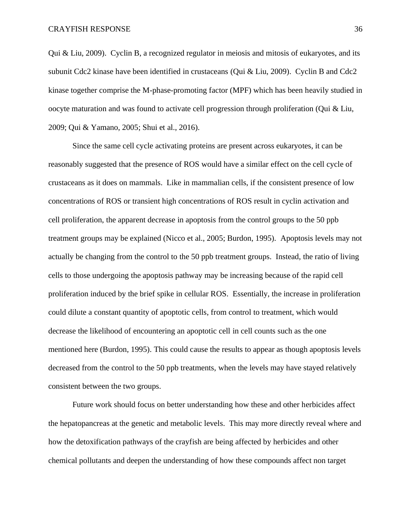Qui & Liu, 2009). Cyclin B, a recognized regulator in meiosis and mitosis of eukaryotes, and its subunit Cdc2 kinase have been identified in crustaceans (Qui & Liu, 2009). Cyclin B and Cdc2 kinase together comprise the M-phase-promoting factor (MPF) which has been heavily studied in oocyte maturation and was found to activate cell progression through proliferation (Qui & Liu, 2009; Qui & Yamano, 2005; Shui et al., 2016).

Since the same cell cycle activating proteins are present across eukaryotes, it can be reasonably suggested that the presence of ROS would have a similar effect on the cell cycle of crustaceans as it does on mammals. Like in mammalian cells, if the consistent presence of low concentrations of ROS or transient high concentrations of ROS result in cyclin activation and cell proliferation, the apparent decrease in apoptosis from the control groups to the 50 ppb treatment groups may be explained (Nicco et al., 2005; Burdon, 1995). Apoptosis levels may not actually be changing from the control to the 50 ppb treatment groups. Instead, the ratio of living cells to those undergoing the apoptosis pathway may be increasing because of the rapid cell proliferation induced by the brief spike in cellular ROS. Essentially, the increase in proliferation could dilute a constant quantity of apoptotic cells, from control to treatment, which would decrease the likelihood of encountering an apoptotic cell in cell counts such as the one mentioned here (Burdon, 1995). This could cause the results to appear as though apoptosis levels decreased from the control to the 50 ppb treatments, when the levels may have stayed relatively consistent between the two groups.

Future work should focus on better understanding how these and other herbicides affect the hepatopancreas at the genetic and metabolic levels. This may more directly reveal where and how the detoxification pathways of the crayfish are being affected by herbicides and other chemical pollutants and deepen the understanding of how these compounds affect non target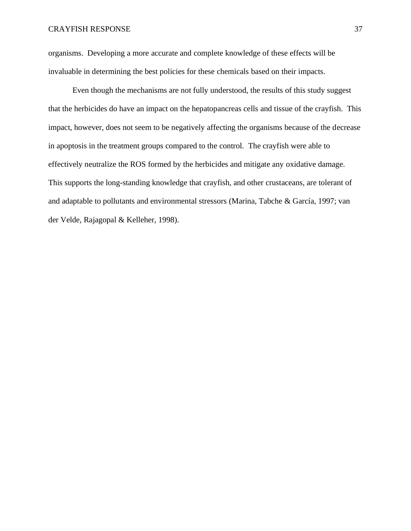organisms. Developing a more accurate and complete knowledge of these effects will be invaluable in determining the best policies for these chemicals based on their impacts.

Even though the mechanisms are not fully understood, the results of this study suggest that the herbicides do have an impact on the hepatopancreas cells and tissue of the crayfish. This impact, however, does not seem to be negatively affecting the organisms because of the decrease in apoptosis in the treatment groups compared to the control. The crayfish were able to effectively neutralize the ROS formed by the herbicides and mitigate any oxidative damage. This supports the long-standing knowledge that crayfish, and other crustaceans, are tolerant of and adaptable to pollutants and environmental stressors (Marina, Tabche & García, 1997; van der Velde, Rajagopal & Kelleher, 1998).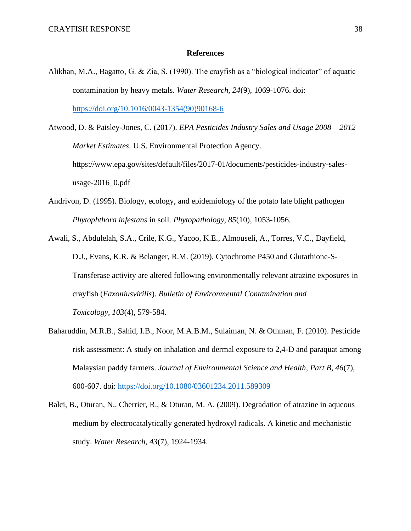# **References**

- Alikhan, M.A., Bagatto, G. & Zia, S. (1990). The crayfish as a "biological indicator" of aquatic contamination by heavy metals. *Water Research, 24*(9), 1069-1076. doi: [https://doi.org/10.1016/0043-1354\(90\)90168-6](https://doi.org/10.1016/0043-1354(90)90168-6)
- Atwood, D. & Paisley-Jones, C. (2017). *EPA Pesticides Industry Sales and Usage 2008 – 2012 Market Estimates*. U.S. Environmental Protection Agency. https://www.epa.gov/sites/default/files/2017-01/documents/pesticides-industry-salesusage- $2016$  0.pdf
- Andrivon, D. (1995). Biology, ecology, and epidemiology of the potato late blight pathogen *Phytophthora infestans* in soil. *Phytopathology, 85*(10), 1053-1056.
- Awali, S., Abdulelah, S.A., Crile, K.G., Yacoo, K.E., Almouseli, A., Torres, V.C., Dayfield, D.J., Evans, K.R. & Belanger, R.M. (2019). Cytochrome P450 and Glutathione-S-Transferase activity are altered following environmentally relevant atrazine exposures in crayfish (*Faxoniusvirilis*). *Bulletin of Environmental Contamination and Toxicology*, *103*(4), 579-584.
- Baharuddin, M.R.B., Sahid, I.B., Noor, M.A.B.M., Sulaiman, N. & Othman, F. (2010). Pesticide risk assessment: A study on inhalation and dermal exposure to 2,4-D and paraquat among Malaysian paddy farmers. *Journal of Environmental Science and Health, Part B, 46*(7), 600-607. doi:<https://doi.org/10.1080/03601234.2011.589309>
- Balci, B., Oturan, N., Cherrier, R., & Oturan, M. A. (2009). Degradation of atrazine in aqueous medium by electrocatalytically generated hydroxyl radicals. A kinetic and mechanistic study. *Water Research*, *43*(7), 1924-1934.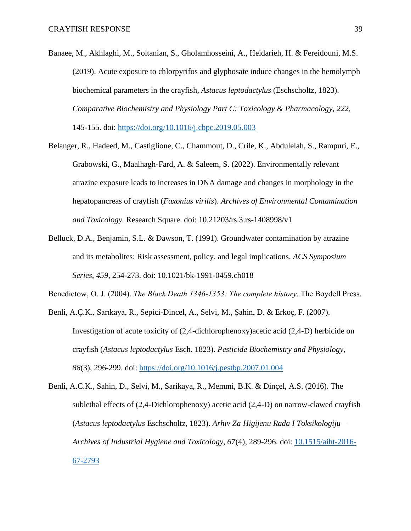- Banaee, M., Akhlaghi, M., Soltanian, S., Gholamhosseini, A., Heidarieh, H. & Fereidouni, M.S. (2019). Acute exposure to chlorpyrifos and glyphosate induce changes in the hemolymph biochemical parameters in the crayfish, *Astacus leptodactylus* (Eschscholtz, 1823). *Comparative Biochemistry and Physiology Part C: Toxicology & Pharmacology, 222,* 145-155. doi:<https://doi.org/10.1016/j.cbpc.2019.05.003>
- Belanger, R., Hadeed, M., Castiglione, C., Chammout, D., Crile, K., Abdulelah, S., Rampuri, E., Grabowski, G., Maalhagh-Fard, A. & Saleem, S. (2022). Environmentally relevant atrazine exposure leads to increases in DNA damage and changes in morphology in the hepatopancreas of crayfish (*Faxonius virilis*). *Archives of Environmental Contamination and Toxicology.* Research Square. doi: 10.21203/rs.3.rs-1408998/v1
- Belluck, D.A., Benjamin, S.L. & Dawson, T. (1991). Groundwater contamination by atrazine and its metabolites: Risk assessment, policy, and legal implications. *ACS Symposium Series, 459*, 254-273. doi: 10.1021/bk-1991-0459.ch018

Benedictow, O. J. (2004). *The Black Death 1346-1353: The complete history*. The Boydell Press.

- Benli, A.Ç.K., Sarıkaya, R., Sepici-Dincel, A., Selvi, M., Şahin, D. & Erkoç, F. (2007). Investigation of acute toxicity of (2,4-dichlorophenoxy)acetic acid (2,4-D) herbicide on crayfish (*Astacus leptodactylus* Esch. 1823). *Pesticide Biochemistry and Physiology, 88*(3), 296-299. doi:<https://doi.org/10.1016/j.pestbp.2007.01.004>
- Benli, A.C.K., Sahin, D., Selvi, M., Sarikaya, R., Memmi, B.K. & Dinçel, A.S. (2016). The sublethal effects of (2,4-Dichlorophenoxy) acetic acid (2,4-D) on narrow-clawed crayfish (*Astacus leptodactylus* Eschscholtz, 1823). *Arhiv Za Higijenu Rada I Toksikologiju – Archives of Industrial Hygiene and Toxicology, 67*(4), 289-296. doi: [10.1515/aiht-2016-](http://doi.org/10.1515/aiht-2016-67-2793) [67-2793](http://doi.org/10.1515/aiht-2016-67-2793)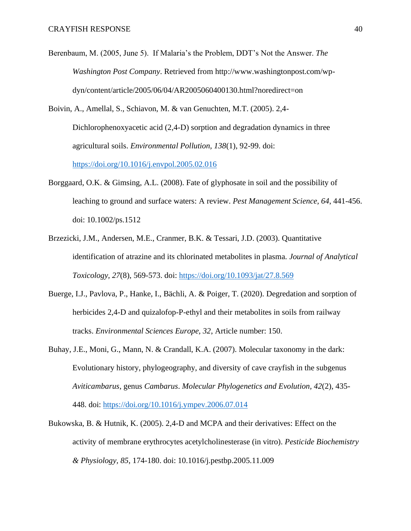- Berenbaum, M. (2005, June 5). If Malaria's the Problem, DDT's Not the Answer. *The Washington Post Company*. Retrieved from http://www.washingtonpost.com/wpdyn/content/article/2005/06/04/AR2005060400130.html?noredirect=on
- Boivin, A., Amellal, S., Schiavon, M. & van Genuchten, M.T. (2005). 2,4- Dichlorophenoxyacetic acid (2,4-D) sorption and degradation dynamics in three agricultural soils. *Environmental Pollution, 138*(1), 92-99. doi: <https://doi.org/10.1016/j.envpol.2005.02.016>
- Borggaard, O.K. & Gimsing, A.L. (2008). Fate of glyphosate in soil and the possibility of leaching to ground and surface waters: A review. *Pest Management Science, 64*, 441-456. doi: 10.1002/ps.1512
- Brzezicki, J.M., Andersen, M.E., Cranmer, B.K. & Tessari, J.D. (2003). Quantitative identification of atrazine and its chlorinated metabolites in plasma. *Journal of Analytical Toxicology, 27*(8), 569-573. doi:<https://doi.org/10.1093/jat/27.8.569>
- Buerge, I.J., Pavlova, P., Hanke, I., Bächli, A. & Poiger, T. (2020). Degredation and sorption of herbicides 2,4-D and quizalofop-P-ethyl and their metabolites in soils from railway tracks. *Environmental Sciences Europe, 32*, Article number: 150.
- Buhay, J.E., Moni, G., Mann, N. & Crandall, K.A. (2007). Molecular taxonomy in the dark: Evolutionary history, phylogeography, and diversity of cave crayfish in the subgenus *Aviticambarus*, genus *Cambarus*. *Molecular Phylogenetics and Evolution, 42*(2), 435- 448. doi:<https://doi.org/10.1016/j.ympev.2006.07.014>
- Bukowska, B. & Hutnik, K. (2005). 2,4-D and MCPA and their derivatives: Effect on the activity of membrane erythrocytes acetylcholinesterase (in vitro). *Pesticide Biochemistry & Physiology, 85*, 174-180. doi: 10.1016/j.pestbp.2005.11.009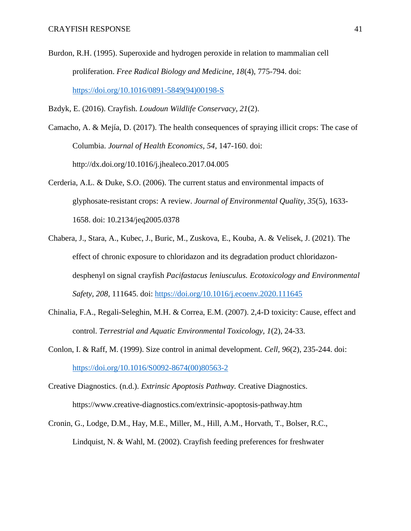- Burdon, R.H. (1995). Superoxide and hydrogen peroxide in relation to mammalian cell proliferation. *Free Radical Biology and Medicine, 18*(4), 775-794. doi: [https://doi.org/10.1016/0891-5849\(94\)00198-S](https://doi.org/10.1016/0891-5849(94)00198-S)
- Bzdyk, E. (2016). Crayfish. *Loudoun Wildlife Conservacy, 21*(2).
- Camacho, A. & Mejía, D. (2017). The health consequences of spraying illicit crops: The case of Columbia. *Journal of Health Economics, 54*, 147-160. doi: http://dx.doi.org/10.1016/j.jhealeco.2017.04.005
- Cerderia, A.L. & Duke, S.O. (2006). The current status and environmental impacts of glyphosate-resistant crops: A review. *Journal of Environmental Quality, 35*(5), 1633- 1658. doi: 10.2134/jeq2005.0378
- Chabera, J., Stara, A., Kubec, J., Buric, M., Zuskova, E., Kouba, A. & Velisek, J. (2021). The effect of chronic exposure to chloridazon and its degradation product chloridazondesphenyl on signal crayfish *Pacifastacus leniusculus. Ecotoxicology and Environmental Safety, 208,* 111645. doi: <https://doi.org/10.1016/j.ecoenv.2020.111645>
- Chinalia, F.A., Regali-Seleghin, M.H. & Correa, E.M. (2007). 2,4-D toxicity: Cause, effect and control. *Terrestrial and Aquatic Environmental Toxicology, 1*(2), 24-33.
- Conlon, I. & Raff, M. (1999). Size control in animal development. *Cell, 96*(2), 235-244. doi: [https://doi.org/10.1016/S0092-8674\(00\)80563-2](https://doi.org/10.1016/S0092-8674(00)80563-2)
- Creative Diagnostics. (n.d.). *Extrinsic Apoptosis Pathway.* Creative Diagnostics. https://www.creative-diagnostics.com/extrinsic-apoptosis-pathway.htm
- Cronin, G., Lodge, D.M., Hay, M.E., Miller, M., Hill, A.M., Horvath, T., Bolser, R.C., Lindquist, N. & Wahl, M. (2002). Crayfish feeding preferences for freshwater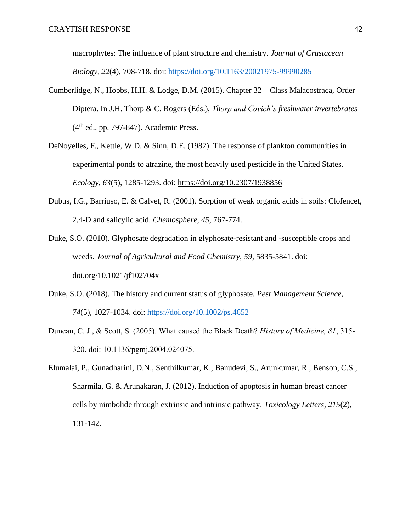macrophytes: The influence of plant structure and chemistry. *Journal of Crustacean Biology, 22*(4), 708-718. doi:<https://doi.org/10.1163/20021975-99990285>

- Cumberlidge, N., Hobbs, H.H. & Lodge, D.M. (2015). Chapter 32 Class Malacostraca, Order Diptera. In J.H. Thorp & C. Rogers (Eds.), *Thorp and Covich's freshwater invertebrates*  $(4<sup>th</sup>$  ed., pp. 797-847). Academic Press.
- DeNoyelles, F., Kettle, W.D. & Sinn, D.E. (1982). The response of plankton communities in experimental ponds to atrazine, the most heavily used pesticide in the United States. *Ecology, 63*(5), 1285-1293. doi: https://doi.org/10.2307/1938856
- Dubus, I.G., Barriuso, E. & Calvet, R. (2001). Sorption of weak organic acids in soils: Clofencet, 2,4-D and salicylic acid. *Chemosphere, 45*, 767-774.
- Duke, S.O. (2010). Glyphosate degradation in glyphosate-resistant and -susceptible crops and weeds. *Journal of Agricultural and Food Chemistry, 59*, 5835-5841. doi: doi.org/10.1021/jf102704x
- Duke, S.O. (2018). The history and current status of glyphosate. *Pest Management Science, 74*(5), 1027-1034. doi:<https://doi.org/10.1002/ps.4652>
- Duncan, C. J., & Scott, S. (2005). What caused the Black Death? *History of Medicine, 81*, 315- 320. doi: 10.1136/pgmj.2004.024075.

Elumalai, P., Gunadharini, D.N., Senthilkumar, K., Banudevi, S., Arunkumar, R., Benson, C.S., Sharmila, G. & Arunakaran, J. (2012). Induction of apoptosis in human breast cancer cells by nimbolide through extrinsic and intrinsic pathway. *Toxicology Letters, 215*(2), 131-142.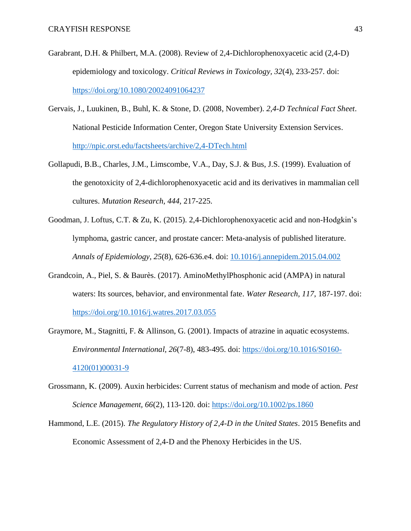- Garabrant, D.H. & Philbert, M.A. (2008). Review of 2,4-Dichlorophenoxyacetic acid (2,4-D) epidemiology and toxicology. *Critical Reviews in Toxicology, 32*(4), 233-257. doi: <https://doi.org/10.1080/20024091064237>
- Gervais, J., Luukinen, B., Buhl, K. & Stone, D. (2008, November). *2,4-D Technical Fact Sheet*. National Pesticide Information Center, Oregon State University Extension Services. <http://npic.orst.edu/factsheets/archive/2,4-DTech.html>
- Gollapudi, B.B., Charles, J.M., Limscombe, V.A., Day, S.J. & Bus, J.S. (1999). Evaluation of the genotoxicity of 2,4-dichlorophenoxyacetic acid and its derivatives in mammalian cell cultures. *Mutation Research, 444,* 217-225.
- Goodman, J. Loftus, C.T. & Zu, K. (2015). 2,4-Dichlorophenoxyacetic acid and non-Hodgkin's lymphoma, gastric cancer, and prostate cancer: Meta-analysis of published literature. *Annals of Epidemiology, 25*(8), 626-636.e4. doi: [10.1016/j.annepidem.2015.04.002](https://doi.org/10.1016/j.annepidem.2015.04.002)
- Grandcoin, A., Piel, S. & Baurès. (2017). AminoMethylPhosphonic acid (AMPA) in natural waters: Its sources, behavior, and environmental fate. *Water Research, 117*, 187-197. doi: <https://doi.org/10.1016/j.watres.2017.03.055>
- Graymore, M., Stagnitti, F. & Allinson, G. (2001). Impacts of atrazine in aquatic ecosystems. *Environmental International, 26*(7-8), 483-495. doi: [https://doi.org/10.1016/S0160-](https://doi.org/10.1016/S0160-4120(01)00031-9) [4120\(01\)00031-9](https://doi.org/10.1016/S0160-4120(01)00031-9)
- Grossmann, K. (2009). Auxin herbicides: Current status of mechanism and mode of action. *Pest Science Management, 66*(2), 113-120. doi:<https://doi.org/10.1002/ps.1860>
- Hammond, L.E. (2015). *The Regulatory History of 2,4-D in the United States*. 2015 Benefits and Economic Assessment of 2,4-D and the Phenoxy Herbicides in the US.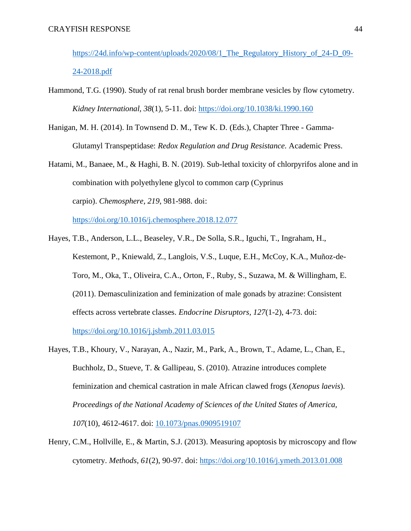https://24d.info/wp-content/uploads/2020/08/1 The Regulatory History of 24-D 09-[24-2018.pdf](https://24d.info/wp-content/uploads/2020/08/1_The_Regulatory_History_of_24-D_09-24-2018.pdf)

- Hammond, T.G. (1990). Study of rat renal brush border membrane vesicles by flow cytometry. *Kidney International, 38*(1), 5-11. doi:<https://doi.org/10.1038/ki.1990.160>
- Hanigan, M. H. (2014). In Townsend D. M., Tew K. D. (Eds.), Chapter Three Gamma-Glutamyl Transpeptidase: *Redox Regulation and Drug Resistance.* Academic Press.
- Hatami, M., Banaee, M., & Haghi, B. N. (2019). Sub-lethal toxicity of chlorpyrifos alone and in combination with polyethylene glycol to common carp (Cyprinus carpio). *Chemosphere*, *219*, 981-988. doi:

<https://doi.org/10.1016/j.chemosphere.2018.12.077>

- Hayes, T.B., Anderson, L.L., Beaseley, V.R., De Solla, S.R., Iguchi, T., Ingraham, H., Kestemont, P., Kniewald, Z., Langlois, V.S., Luque, E.H., McCoy, K.A., Muñoz-de-Toro, M., Oka, T., Oliveira, C.A., Orton, F., Ruby, S., Suzawa, M. & Willingham, E. (2011). Demasculinization and feminization of male gonads by atrazine: Consistent effects across vertebrate classes. *Endocrine Disruptors, 127*(1-2), 4-73. doi: <https://doi.org/10.1016/j.jsbmb.2011.03.015>
- Hayes, T.B., Khoury, V., Narayan, A., Nazir, M., Park, A., Brown, T., Adame, L., Chan, E., Buchholz, D., Stueve, T. & Gallipeau, S. (2010). Atrazine introduces complete feminization and chemical castration in male African clawed frogs (*Xenopus laevis*). *Proceedings of the National Academy of Sciences of the United States of America, 107*(10), 4612-4617. doi: [10.1073/pnas.0909519107](https://dx.doi.org/10.1073%2Fpnas.0909519107)
- Henry, C.M., Hollville, E., & Martin, S.J. (2013). Measuring apoptosis by microscopy and flow cytometry. *Methods, 61*(2), 90-97. doi:<https://doi.org/10.1016/j.ymeth.2013.01.008>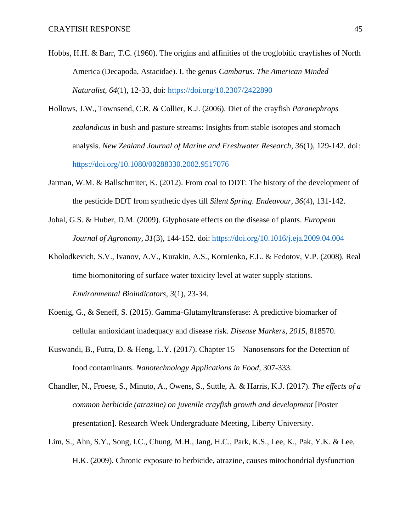- Hobbs, H.H. & Barr, T.C. (1960). The origins and affinities of the troglobitic crayfishes of North America (Decapoda, Astacidae). I. the genus *Cambarus*. *The American Minded Naturalist, 64*(1), 12-33, doi:<https://doi.org/10.2307/2422890>
- Hollows, J.W., Townsend, C.R. & Collier, K.J. (2006). Diet of the crayfish *Paranephrops zealandicus* in bush and pasture streams: Insights from stable isotopes and stomach analysis. *New Zealand Journal of Marine and Freshwater Research, 36*(1), 129-142. doi: <https://doi.org/10.1080/00288330.2002.9517076>
- Jarman, W.M. & Ballschmiter, K. (2012). From coal to DDT: The history of the development of the pesticide DDT from synthetic dyes till *Silent Spring*. *Endeavour, 36*(4), 131-142.
- Johal, G.S. & Huber, D.M. (2009). Glyphosate effects on the disease of plants. *European Journal of Agronomy, 31*(3), 144-152. doi:<https://doi.org/10.1016/j.eja.2009.04.004>
- Kholodkevich, S.V., Ivanov, A.V., Kurakin, A.S., Kornienko, E.L. & Fedotov, V.P. (2008). Real time biomonitoring of surface water toxicity level at water supply stations. *Environmental Bioindicators, 3*(1), 23-34.
- Koenig, G., & Seneff, S. (2015). Gamma-Glutamyltransferase: A predictive biomarker of cellular antioxidant inadequacy and disease risk. *Disease Markers, 2015*, 818570.
- Kuswandi, B., Futra, D. & Heng, L.Y. (2017). Chapter 15 Nanosensors for the Detection of food contaminants. *Nanotechnology Applications in Food,* 307-333.
- Chandler, N., Froese, S., Minuto, A., Owens, S., Suttle, A. & Harris, K.J. (2017). *The effects of a common herbicide (atrazine) on juvenile crayfish growth and development* [Poster presentation]. Research Week Undergraduate Meeting, Liberty University.
- Lim, S., Ahn, S.Y., Song, I.C., Chung, M.H., Jang, H.C., Park, K.S., Lee, K., Pak, Y.K. & Lee, H.K. (2009). Chronic exposure to herbicide, atrazine, causes mitochondrial dysfunction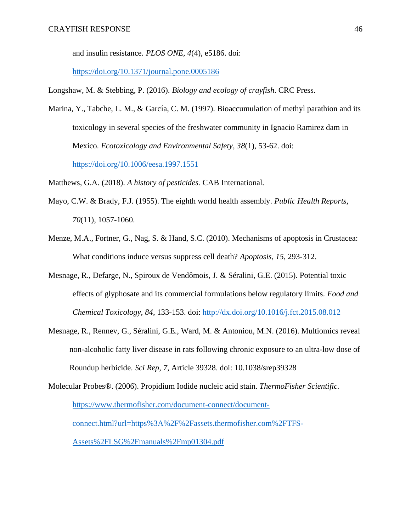and insulin resistance. *PLOS ONE, 4*(4), e5186. doi:

<https://doi.org/10.1371/journal.pone.0005186>

Longshaw, M. & Stebbing, P. (2016). *Biology and ecology of crayfish*. CRC Press.

Marina, Y., Tabche, L. M., & García, C. M. (1997). Bioaccumulation of methyl parathion and its toxicology in several species of the freshwater community in Ignacio Ramirez dam in Mexico. *Ecotoxicology and Environmental Safety*, *38*(1), 53-62. doi:

<https://doi.org/10.1006/eesa.1997.1551>

Matthews, G.A. (2018). *A history of pesticides.* CAB International.

- Mayo, C.W. & Brady, F.J. (1955). The eighth world health assembly. *Public Health Reports, 70*(11), 1057-1060.
- Menze, M.A., Fortner, G., Nag, S. & Hand, S.C. (2010). Mechanisms of apoptosis in Crustacea: What conditions induce versus suppress cell death? *Apoptosis, 15*, 293-312.
- Mesnage, R., Defarge, N., Spiroux de Vendômois, J. & Séralini, G.E. (2015). Potential toxic effects of glyphosate and its commercial formulations below regulatory limits. *Food and Chemical Toxicology, 84*, 133-153. doi:<http://dx.doi.org/10.1016/j.fct.2015.08.012>
- Mesnage, R., Rennev, G., Séralini, G.E., Ward, M. & Antoniou, M.N. (2016). Multiomics reveal non-alcoholic fatty liver disease in rats following chronic exposure to an ultra-low dose of Roundup herbicide. *Sci Rep, 7*, Article 39328. doi: 10.1038/srep39328
- Molecular Probes®. (2006). Propidium Iodide nucleic acid stain. *ThermoFisher Scientific.*  [https://www.thermofisher.com/document-connect/document](https://www.thermofisher.com/document-connect/document-connect.html?url=https%3A%2F%2Fassets.thermofisher.com%2FTFS-Assets%2FLSG%2Fmanuals%2Fmp01304.pdf)[connect.html?url=https%3A%2F%2Fassets.thermofisher.com%2FTFS-](https://www.thermofisher.com/document-connect/document-connect.html?url=https%3A%2F%2Fassets.thermofisher.com%2FTFS-Assets%2FLSG%2Fmanuals%2Fmp01304.pdf)

[Assets%2FLSG%2Fmanuals%2Fmp01304.pdf](https://www.thermofisher.com/document-connect/document-connect.html?url=https%3A%2F%2Fassets.thermofisher.com%2FTFS-Assets%2FLSG%2Fmanuals%2Fmp01304.pdf)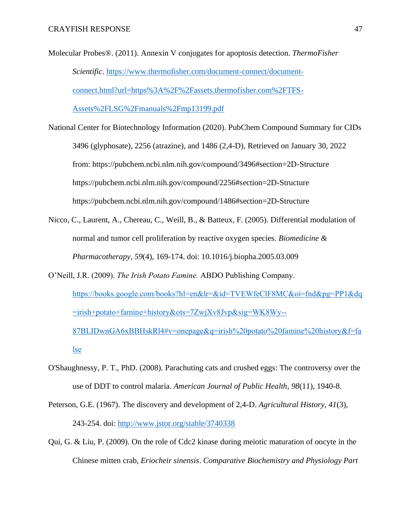- Molecular Probes®. (2011). Annexin V conjugates for apoptosis detection. *ThermoFisher Scientific*. [https://www.thermofisher.com/document-connect/document](https://www.thermofisher.com/document-connect/document-connect.html?url=https%3A%2F%2Fassets.thermofisher.com%2FTFS-Assets%2FLSG%2Fmanuals%2Fmp13199.pdf)[connect.html?url=https%3A%2F%2Fassets.thermofisher.com%2FTFS-](https://www.thermofisher.com/document-connect/document-connect.html?url=https%3A%2F%2Fassets.thermofisher.com%2FTFS-Assets%2FLSG%2Fmanuals%2Fmp13199.pdf)[Assets%2FLSG%2Fmanuals%2Fmp13199.pdf](https://www.thermofisher.com/document-connect/document-connect.html?url=https%3A%2F%2Fassets.thermofisher.com%2FTFS-Assets%2FLSG%2Fmanuals%2Fmp13199.pdf)
- National Center for Biotechnology Information (2020). PubChem Compound Summary for CIDs 3496 (glyphosate), 2256 (atrazine), and 1486 (2,4-D), Retrieved on January 30, 2022 from: https://pubchem.ncbi.nlm.nih.gov/compound/3496#section=2D-Structure https://pubchem.ncbi.nlm.nih.gov/compound/2256#section=2D-Structure https://pubchem.ncbi.nlm.nih.gov/compound/1486#section=2D-Structure
- Nicco, C., Laurent, A., Chereau, C., Weill, B., & Batteux, F. (2005). Differential modulation of normal and tumor cell proliferation by reactive oxygen species. *Biomedicine & Pharmacotherapy*, *59*(4), 169-174. doi: 10.1016/j.biopha.2005.03.009
- O'Neill, J.R. (2009). *The Irish Potato Famine.* ABDO Publishing Company. [https://books.google.com/books?hl=en&lr=&id=TVEWfeClF8MC&oi=fnd&pg=PP1&dq](https://books.google.com/books?hl=en&lr=&id=TVEWfeClF8MC&oi=fnd&pg=PP1&dq=irish+potato+famine+history&ots=7ZwjXv8Jvp&sig=WK8Wy--87BLIDwnGA6xBBHskRl4#v=onepage&q=irish%20potato%20famine%20history&f=false) [=irish+potato+famine+history&ots=7ZwjXv8Jvp&sig=WK8Wy--](https://books.google.com/books?hl=en&lr=&id=TVEWfeClF8MC&oi=fnd&pg=PP1&dq=irish+potato+famine+history&ots=7ZwjXv8Jvp&sig=WK8Wy--87BLIDwnGA6xBBHskRl4#v=onepage&q=irish%20potato%20famine%20history&f=false) [87BLIDwnGA6xBBHskRl4#v=onepage&q=irish%20potato%20famine%20history&f=fa](https://books.google.com/books?hl=en&lr=&id=TVEWfeClF8MC&oi=fnd&pg=PP1&dq=irish+potato+famine+history&ots=7ZwjXv8Jvp&sig=WK8Wy--87BLIDwnGA6xBBHskRl4#v=onepage&q=irish%20potato%20famine%20history&f=false) [lse](https://books.google.com/books?hl=en&lr=&id=TVEWfeClF8MC&oi=fnd&pg=PP1&dq=irish+potato+famine+history&ots=7ZwjXv8Jvp&sig=WK8Wy--87BLIDwnGA6xBBHskRl4#v=onepage&q=irish%20potato%20famine%20history&f=false)
- O'Shaughnessy, P. T., PhD. (2008). Parachuting cats and crushed eggs: The controversy over the use of DDT to control malaria. *American Journal of Public Health, 98*(11), 1940-8.
- Peterson, G.E. (1967). The discovery and development of 2,4-D. *Agricultural History, 41*(3), 243-254. doi:<http://www.jstor.org/stable/3740338>
- Qui, G. & Liu, P. (2009). On the role of Cdc2 kinase during meiotic maturation of oocyte in the Chinese mitten crab, *Eriocheir sinensis*. *Comparative Biochemistry and Physiology Part*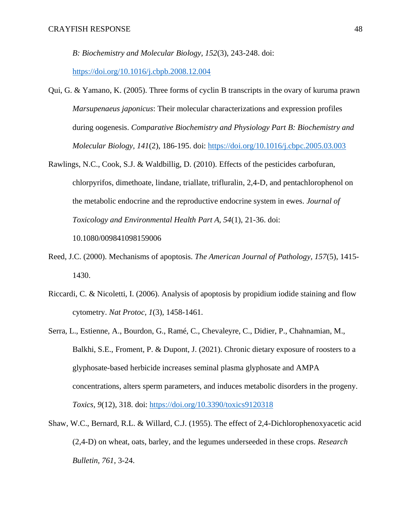*B: Biochemistry and Molecular Biology, 152*(3), 243-248. doi:

<https://doi.org/10.1016/j.cbpb.2008.12.004>

- Qui, G. & Yamano, K. (2005). Three forms of cyclin B transcripts in the ovary of kuruma prawn *Marsupenaeus japonicus*: Their molecular characterizations and expression profiles during oogenesis. *Comparative Biochemistry and Physiology Part B: Biochemistry and Molecular Biology, 141*(2), 186-195. doi:<https://doi.org/10.1016/j.cbpc.2005.03.003>
- Rawlings, N.C., Cook, S.J. & Waldbillig, D. (2010). Effects of the pesticides carbofuran, chlorpyrifos, dimethoate, lindane, triallate, trifluralin, 2,4-D, and pentachlorophenol on the metabolic endocrine and the reproductive endocrine system in ewes. *Journal of Toxicology and Environmental Health Part A, 54*(1), 21-36. doi: 10.1080/009841098159006
- Reed, J.C. (2000). Mechanisms of apoptosis. *The American Journal of Pathology, 157*(5), 1415- 1430.
- Riccardi, C. & Nicoletti, I. (2006). Analysis of apoptosis by propidium iodide staining and flow cytometry. *Nat Protoc, 1*(3), 1458-1461.
- Serra, L., Estienne, A., Bourdon, G., Ramé, C., Chevaleyre, C., Didier, P., Chahnamian, M., Balkhi, S.E., Froment, P. & Dupont, J. (2021). Chronic dietary exposure of roosters to a glyphosate-based herbicide increases seminal plasma glyphosate and AMPA concentrations, alters sperm parameters, and induces metabolic disorders in the progeny. *Toxics, 9*(12), 318. doi:<https://doi.org/10.3390/toxics9120318>
- Shaw, W.C., Bernard, R.L. & Willard, C.J. (1955). The effect of 2,4-Dichlorophenoxyacetic acid (2,4-D) on wheat, oats, barley, and the legumes underseeded in these crops. *Research Bulletin, 761*, 3-24.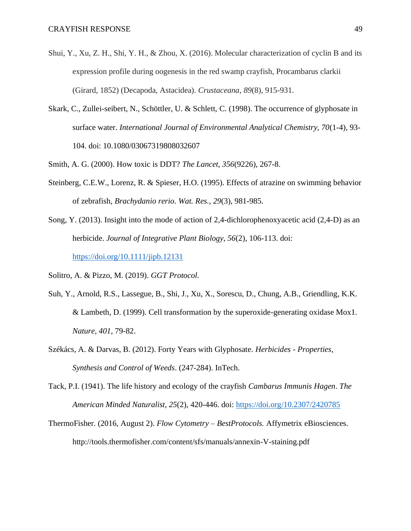- Shui, Y., Xu, Z. H., Shi, Y. H., & Zhou, X. (2016). Molecular characterization of cyclin B and its expression profile during oogenesis in the red swamp crayfish, Procambarus clarkii (Girard, 1852) (Decapoda, Astacidea). *Crustaceana*, *89*(8), 915-931.
- Skark, C., Zullei-seibert, N., Schöttler, U. & Schlett, C. (1998). The occurrence of glyphosate in surface water. *International Journal of Environmental Analytical Chemistry, 70*(1-4), 93- 104. doi: 10.1080/03067319808032607
- Smith, A. G. (2000). How toxic is DDT? *The Lancet, 356*(9226), 267-8.
- Steinberg, C.E.W., Lorenz, R. & Spieser, H.O. (1995). Effects of atrazine on swimming behavior of zebrafish, *Brachydanio rerio*. *Wat. Res., 29*(3), 981-985.
- Song, Y. (2013). Insight into the mode of action of 2,4-dichlorophenoxyacetic acid (2,4-D) as an herbicide. *Journal of Integrative Plant Biology, 56*(2), 106-113. doi: <https://doi.org/10.1111/jipb.12131>

Solitro, A. & Pizzo, M. (2019). *GGT Protocol.* 

- Suh, Y., Arnold, R.S., Lassegue, B., Shi, J., Xu, X., Sorescu, D., Chung, A.B., Griendling, K.K. & Lambeth, D. (1999). Cell transformation by the superoxide-generating oxidase Mox1. *Nature, 401*, 79-82.
- Székács, A. & Darvas, B. (2012). Forty Years with Glyphosate. *Herbicides - Properties, Synthesis and Control of Weeds*. (247-284). InTech.
- Tack, P.I. (1941). The life history and ecology of the crayfish *Cambarus Immunis Hagen*. *The American Minded Naturalist, 25*(2), 420-446. doi:<https://doi.org/10.2307/2420785>
- ThermoFisher. (2016, August 2). *Flow Cytometry – BestProtocols.* Affymetrix eBiosciences. http://tools.thermofisher.com/content/sfs/manuals/annexin-V-staining.pdf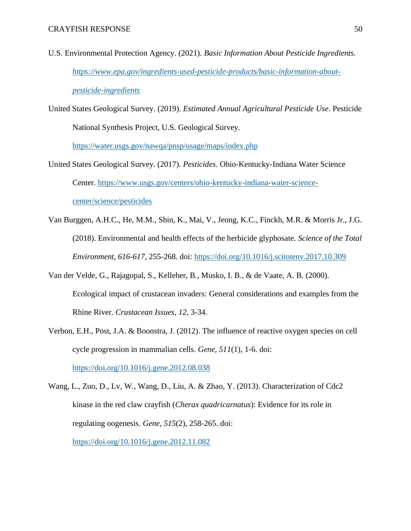- U.S. Environmental Protection Agency. (2021). *Basic Information About Pesticide Ingredients. [https://www.epa.gov/ingredients-used-pesticide-products/basic-information-about](https://www.epa.gov/ingredients-used-pesticide-products/basic-information-about-pesticide-ingredients)[pesticide-ingredients](https://www.epa.gov/ingredients-used-pesticide-products/basic-information-about-pesticide-ingredients)*
- United States Geological Survey. (2019). *Estimated Annual Agricultural Pesticide Use*. Pesticide National Synthesis Project, U.S. Geological Survey.

<https://water.usgs.gov/nawqa/pnsp/usage/maps/index.php>

- United States Geological Survey. (2017). *Pesticides*. Ohio-Kentucky-Indiana Water Science Center. [https://www.usgs.gov/centers/ohio-kentucky-indiana-water-science](https://www.usgs.gov/centers/ohio-kentucky-indiana-water-science-center/science/pesticides)[center/science/pesticides](https://www.usgs.gov/centers/ohio-kentucky-indiana-water-science-center/science/pesticides)
- Van Burggen, A.H.C., He, M.M., Shin, K., Mai, V., Jeong, K.C., Finckh, M.R. & Morris Jr., J.G. (2018). Environmental and health effects of the herbicide glyphosate. *Science of the Total Environment, 616-617,* 255-268. doi:<https://doi.org/10.1016/j.scitotenv.2017.10.309>
- Van der Velde, G., Rajagopal, S., Kelleher, B., Musko, I. B., & de Vaate, A. B. (2000). Ecological impact of crustacean invaders: General considerations and examples from the Rhine River. *Crustacean Issues*, *12*, 3-34.
- Verbon, E.H., Post, J.A. & Boonstra, J. (2012). The influence of reactive oxygen species on cell cycle progression in mammalian cells. *Gene, 511*(1), 1-6. doi: <https://doi.org/10.1016/j.gene.2012.08.038>

Wang, L., Zuo, D., Lv, W., Wang, D., Liu, A. & Zhao, Y. (2013). Characterization of Cdc2 kinase in the red claw crayfish (*Cherax quadricarnatus*): Evidence for its role in regulating oogenesis. *Gene, 515*(2), 258-265. doi: <https://doi.org/10.1016/j.gene.2012.11.082>